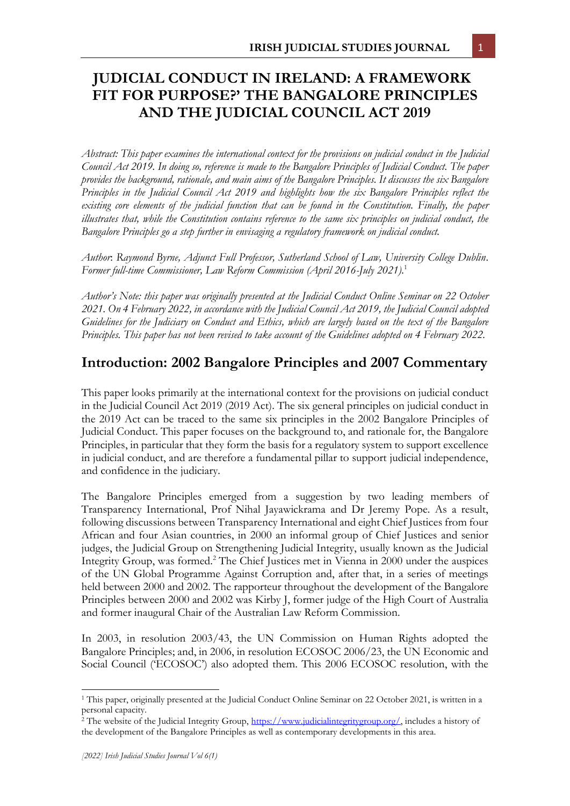# **JUDICIAL CONDUCT IN IRELAND: A FRAMEWORK FIT FOR PURPOSE?' THE BANGALORE PRINCIPLES AND THE JUDICIAL COUNCIL ACT 2019**

*Abstract: This paper examines the international context for the provisions on judicial conduct in the Judicial Council Act 2019. In doing so, reference is made to the Bangalore Principles of Judicial Conduct. The paper provides the background, rationale, and main aims of the Bangalore Principles. It discusses the six Bangalore Principles in the Judicial Council Act 2019 and highlights how the six Bangalore Principles reflect the existing core elements of the judicial function that can be found in the Constitution. Finally, the paper illustrates that, while the Constitution contains reference to the same six principles on judicial conduct, the Bangalore Principles go a step further in envisaging a regulatory framework on judicial conduct.*

*Author*: *Raymond Byrne, Adjunct Full Professor, Sutherland School of Law, University College Dublin. Former full-time Commissioner, Law Reform Commission (April 2016-July 2021).* 1

*Author's Note: this paper was originally presented at the Judicial Conduct Online Seminar on 22 October 2021. On 4 February 2022, in accordance with the Judicial Council Act 2019, the Judicial Council adopted Guidelines for the Judiciary on Conduct and Ethics, which are largely based on the text of the Bangalore Principles. This paper has not been revised to take account of the Guidelines adopted on 4 February 2022.*

# **Introduction: 2002 Bangalore Principles and 2007 Commentary**

This paper looks primarily at the international context for the provisions on judicial conduct in the Judicial Council Act 2019 (2019 Act). The six general principles on judicial conduct in the 2019 Act can be traced to the same six principles in the 2002 Bangalore Principles of Judicial Conduct. This paper focuses on the background to, and rationale for, the Bangalore Principles, in particular that they form the basis for a regulatory system to support excellence in judicial conduct, and are therefore a fundamental pillar to support judicial independence, and confidence in the judiciary.

The Bangalore Principles emerged from a suggestion by two leading members of Transparency International, Prof Nihal Jayawickrama and Dr Jeremy Pope. As a result, following discussions between Transparency International and eight Chief Justices from four African and four Asian countries, in 2000 an informal group of Chief Justices and senior judges, the Judicial Group on Strengthening Judicial Integrity, usually known as the Judicial Integrity Group, was formed.<sup>2</sup> The Chief Justices met in Vienna in 2000 under the auspices of the UN Global Programme Against Corruption and, after that, in a series of meetings held between 2000 and 2002. The rapporteur throughout the development of the Bangalore Principles between 2000 and 2002 was Kirby J, former judge of the High Court of Australia and former inaugural Chair of the Australian Law Reform Commission.

In 2003, in resolution 2003/43, the UN Commission on Human Rights adopted the Bangalore Principles; and, in 2006, in resolution ECOSOC 2006/23, the UN Economic and Social Council ('ECOSOC') also adopted them. This 2006 ECOSOC resolution, with the

<sup>&</sup>lt;sup>1</sup> This paper, originally presented at the Judicial Conduct Online Seminar on 22 October 2021, is written in a personal capacity.

<sup>&</sup>lt;sup>2</sup> The website of the Judicial Integrity Group, [https://www.judicialintegritygroup.org/,](https://www.judicialintegritygroup.org/) includes a history of the development of the Bangalore Principles as well as contemporary developments in this area.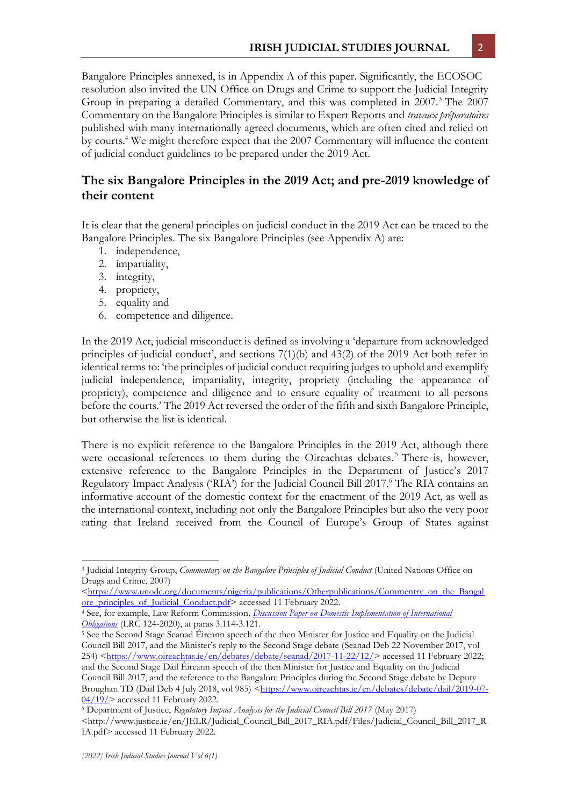Bangalore Principles annexed, is in Appendix A of this paper. Significantly, the ECOSOC resolution also invited the UN Office on Drugs and Crime to support the Judicial Integrity Group in preparing a detailed Commentary, and this was completed in 2007.<sup>3</sup> The 2007 Commentary on the Bangalore Principles is similar to Expert Reports and *travaux préparatoires* published with many internationally agreed documents, which are often cited and relied on by courts.<sup>4</sup> We might therefore expect that the 2007 Commentary will influence the content of judicial conduct guidelines to be prepared under the 2019 Act.

# **The six Bangalore Principles in the 2019 Act; and pre-2019 knowledge of their content**

It is clear that the general principles on judicial conduct in the 2019 Act can be traced to the Bangalore Principles. The six Bangalore Principles (see Appendix A) are:

- 1. independence,
- 2. impartiality,
- 3. integrity,
- 4. propriety,
- 5. equality and
- 6. competence and diligence.

In the 2019 Act, judicial misconduct is defined as involving a 'departure from acknowledged principles of judicial conduct', and sections 7(1)(b) and 43(2) of the 2019 Act both refer in identical terms to: 'the principles of judicial conduct requiring judges to uphold and exemplify judicial independence, impartiality, integrity, propriety (including the appearance of propriety), competence and diligence and to ensure equality of treatment to all persons before the courts.' The 2019 Act reversed the order of the fifth and sixth Bangalore Principle, but otherwise the list is identical.

There is no explicit reference to the Bangalore Principles in the 2019 Act, although there were occasional references to them during the Oireachtas debates.<sup>5</sup> There is, however, extensive reference to the Bangalore Principles in the Department of Justice's 2017 Regulatory Impact Analysis ('RIA') for the Judicial Council Bill 2017.<sup>6</sup> The RIA contains an informative account of the domestic context for the enactment of the 2019 Act, as well as the international context, including not only the Bangalore Principles but also the very poor rating that Ireland received from the Council of Europe's Group of States against

<sup>5</sup> See the Second Stage Seanad Éireann speech of the then Minister for Justice and Equality on the Judicial Council Bill 2017, and the Minister's reply to the Second Stage debate (Seanad Deb 22 November 2017, vol 254) [<https://www.oireachtas.ie/en/debates/debate/seanad/2017-11-22/12/>](https://www.oireachtas.ie/en/debates/debate/seanad/2017-11-22/12/) accessed 11 February 2022; and the Second Stage Dáil Éireann speech of the then Minister for Justice and Equality on the Judicial Council Bill 2017, and the reference to the Bangalore Principles during the Second Stage debate by Deputy Broughan TD (Dáil Deb 4 July 2018, vol 985) [<https://www.oireachtas.ie/en/debates/debate/dail/2019-07-](https://www.oireachtas.ie/en/debates/debate/dail/2019-07-04/19/) [04/19/>](https://www.oireachtas.ie/en/debates/debate/dail/2019-07-04/19/) accessed 11 February 2022.

<sup>3</sup> Judicial Integrity Group, *Commentary on the Bangalore Principles of Judicial Conduct* (United Nations Office on Drugs and Crime, 2007)

[<sup>&</sup>lt;https://www.unodc.org/documents/nigeria/publications/Otherpublications/Commentry\\_on\\_the\\_Bangal](https://www.unodc.org/documents/nigeria/publications/Otherpublications/Commentry_on_the_Bangalore_principles_of_Judicial_Conduct.pdf) [ore\\_principles\\_of\\_Judicial\\_Conduct.pdf>](https://www.unodc.org/documents/nigeria/publications/Otherpublications/Commentry_on_the_Bangalore_principles_of_Judicial_Conduct.pdf) accessed 11 February 2022.

<sup>4</sup> See, for example, Law Reform Commission*, [Discussion Paper on Domestic Implementation of International](https://publications.lawreform.ie/Portal/External/en-GB/RecordView/Index/61653)  [Obligations](https://publications.lawreform.ie/Portal/External/en-GB/RecordView/Index/61653)* (LRC 124-2020), at paras 3.114-3.121.

<sup>6</sup> Department of Justice, *Regulatory Impact Analysis for the Judicial Council Bill 2017* (May 2017)

<sup>&</sup>lt;http://www.justice.ie/en/JELR/Judicial\_Council\_Bill\_2017\_RIA.pdf/Files/Judicial\_Council\_Bill\_2017\_R IA.pdf> accessed 11 February 2022.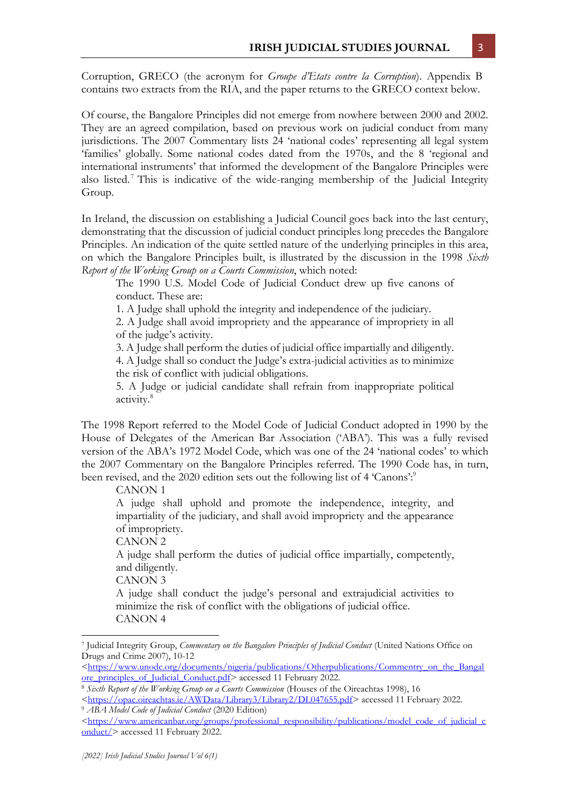Corruption, GRECO (the acronym for *Groupe d'Etats contre la Corruption*). Appendix B contains two extracts from the RIA, and the paper returns to the GRECO context below.

Of course, the Bangalore Principles did not emerge from nowhere between 2000 and 2002. They are an agreed compilation, based on previous work on judicial conduct from many jurisdictions. The 2007 Commentary lists 24 'national codes' representing all legal system 'families' globally. Some national codes dated from the 1970s, and the 8 'regional and international instruments' that informed the development of the Bangalore Principles were also listed. <sup>7</sup> This is indicative of the wide-ranging membership of the Judicial Integrity Group.

In Ireland, the discussion on establishing a Judicial Council goes back into the last century, demonstrating that the discussion of judicial conduct principles long precedes the Bangalore Principles. An indication of the quite settled nature of the underlying principles in this area, on which the Bangalore Principles built, is illustrated by the discussion in the 1998 *Sixth Report of the Working Group on a Courts Commission*, which noted:

The 1990 U.S. Model Code of Judicial Conduct drew up five canons of conduct. These are:

1. A Judge shall uphold the integrity and independence of the judiciary.

2. A Judge shall avoid impropriety and the appearance of impropriety in all of the judge's activity.

3. A Judge shall perform the duties of judicial office impartially and diligently.

4. A Judge shall so conduct the Judge's extra-judicial activities as to minimize the risk of conflict with judicial obligations.

5. A Judge or judicial candidate shall refrain from inappropriate political activity.<sup>8</sup>

The 1998 Report referred to the Model Code of Judicial Conduct adopted in 1990 by the House of Delegates of the American Bar Association ('ABA'). This was a fully revised version of the ABA's 1972 Model Code, which was one of the 24 'national codes' to which the 2007 Commentary on the Bangalore Principles referred. The 1990 Code has, in turn, been revised, and the 2020 edition sets out the following list of 4 'Canons'.<sup>9</sup>

CANON 1

A judge shall uphold and promote the independence, integrity, and impartiality of the judiciary, and shall avoid impropriety and the appearance of impropriety.

CANON 2

A judge shall perform the duties of judicial office impartially, competently, and diligently.

CANON 3

A judge shall conduct the judge's personal and extrajudicial activities to minimize the risk of conflict with the obligations of judicial office. CANON 4

<sup>7</sup> Judicial Integrity Group, *Commentary on the Bangalore Principles of Judicial Conduct* (United Nations Office on Drugs and Crime 2007), 10-12

[<sup>&</sup>lt;https://www.unodc.org/documents/nigeria/publications/Otherpublications/Commentry\\_on\\_the\\_Bangal](https://www.unodc.org/documents/nigeria/publications/Otherpublications/Commentry_on_the_Bangalore_principles_of_Judicial_Conduct.pdf) [ore\\_principles\\_of\\_Judicial\\_Conduct.pdf>](https://www.unodc.org/documents/nigeria/publications/Otherpublications/Commentry_on_the_Bangalore_principles_of_Judicial_Conduct.pdf) accessed 11 February 2022.

<sup>&</sup>lt;sup>8</sup> Sixth Report of the Working Group on a Courts Commission (Houses of the Oireachtas 1998), 16

[<sup>&</sup>lt;https://opac.oireachtas.ie/AWData/Library3/Library2/DL047655.pdf>](https://opac.oireachtas.ie/AWData/Library3/Library2/DL047655.pdf) accessed 11 February 2022. <sup>9</sup> *ABA Model Code of Judicial Conduct* (2020 Edition)

 $\langle \frac{\text{https://www.americanbar.org/groups/professional~responsibility/publications/model code of judicial c}{\text{https://www.americanbar.org/groups/professional~responsibility/publications/model code of judicial c}}$ [onduct/>](https://www.americanbar.org/groups/professional_responsibility/publications/model_code_of_judicial_conduct/) accessed 11 February 2022.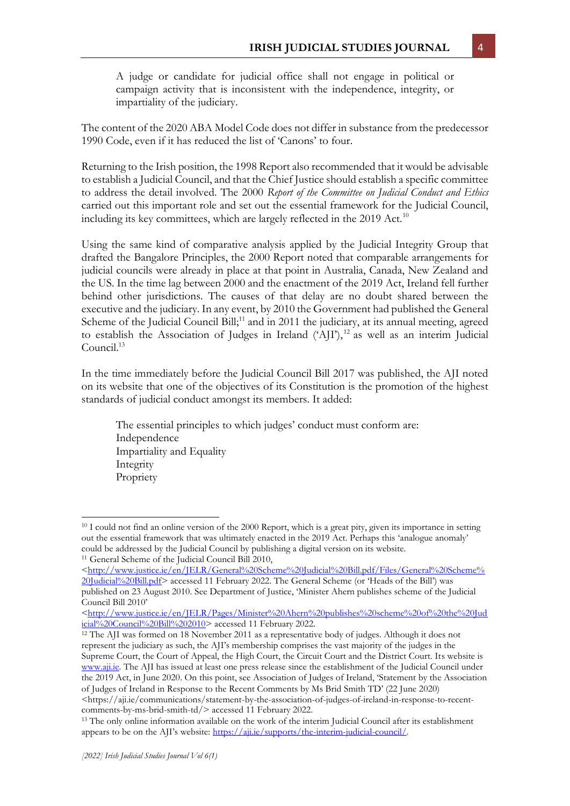A judge or candidate for judicial office shall not engage in political or campaign activity that is inconsistent with the independence, integrity, or impartiality of the judiciary.

The content of the 2020 ABA Model Code does not differ in substance from the predecessor 1990 Code, even if it has reduced the list of 'Canons' to four.

Returning to the Irish position, the 1998 Report also recommended that it would be advisable to establish a Judicial Council, and that the Chief Justice should establish a specific committee to address the detail involved. The 2000 *Report of the Committee on Judicial Conduct and Ethics* carried out this important role and set out the essential framework for the Judicial Council, including its key committees, which are largely reflected in the 2019 Act.<sup>10</sup>

Using the same kind of comparative analysis applied by the Judicial Integrity Group that drafted the Bangalore Principles, the 2000 Report noted that comparable arrangements for judicial councils were already in place at that point in Australia, Canada, New Zealand and the US. In the time lag between 2000 and the enactment of the 2019 Act, Ireland fell further behind other jurisdictions. The causes of that delay are no doubt shared between the executive and the judiciary. In any event, by 2010 the Government had published the General Scheme of the Judicial Council Bill;<sup>11</sup> and in 2011 the judiciary, at its annual meeting, agreed to establish the Association of Judges in Ireland  $(AJI')$ ,<sup>12</sup> as well as an interim Judicial Council.<sup>13</sup>

In the time immediately before the Judicial Council Bill 2017 was published, the AJI noted on its website that one of the objectives of its Constitution is the promotion of the highest standards of judicial conduct amongst its members. It added:

The essential principles to which judges' conduct must conform are: Independence Impartiality and Equality Integrity Propriety

[<http://www.justice.ie/en/JELR/General%20Scheme%20Judicial%20Bill.pdf/Files/General%20Scheme%](http://www.justice.ie/en/JELR/General%20Scheme%20Judicial%20Bill.pdf/Files/General%20Scheme%20Judicial%20Bill.pdf) [20Judicial%20Bill.pdf>](http://www.justice.ie/en/JELR/General%20Scheme%20Judicial%20Bill.pdf/Files/General%20Scheme%20Judicial%20Bill.pdf) accessed 11 February 2022. The General Scheme (or 'Heads of the Bill') was published on 23 August 2010. See Department of Justice, 'Minister Ahern publishes scheme of the Judicial Council Bill 2010'

 $10$  I could not find an online version of the 2000 Report, which is a great pity, given its importance in setting out the essential framework that was ultimately enacted in the 2019 Act. Perhaps this 'analogue anomaly' could be addressed by the Judicial Council by publishing a digital version on its website. <sup>11</sup> General Scheme of the Judicial Council Bill 2010,

[<sup>&</sup>lt;http://www.justice.ie/en/JELR/Pages/Minister%20Ahern%20publishes%20scheme%20of%20the%20Jud](http://www.justice.ie/en/JELR/Pages/Minister%20Ahern%20publishes%20scheme%20of%20the%20Judicial%20Council%20Bill%202010) [icial%20Council%20Bill%202010>](http://www.justice.ie/en/JELR/Pages/Minister%20Ahern%20publishes%20scheme%20of%20the%20Judicial%20Council%20Bill%202010) accessed 11 February 2022.

<sup>&</sup>lt;sup>12</sup> The AJI was formed on 18 November 2011 as a representative body of judges. Although it does not represent the judiciary as such, the AJI's membership comprises the vast majority of the judges in the Supreme Court, the Court of Appeal, the High Court, the Circuit Court and the District Court. Its website is [www.aji.ie.](http://www.aji.ie/) The AJI has issued at least one press release since the establishment of the Judicial Council under the 2019 Act, in June 2020. On this point, see Association of Judges of Ireland, 'Statement by the Association of Judges of Ireland in Response to the Recent Comments by Ms Brid Smith TD' (22 June 2020)

<sup>&</sup>lt;https://aji.ie/communications/statement-by-the-association-of-judges-of-ireland-in-response-to-recentcomments-by-ms-brid-smith-td/> accessed 11 February 2022.

<sup>&</sup>lt;sup>13</sup> The only online information available on the work of the interim Judicial Council after its establishment appears to be on the AJI's website: [https://aji.ie/supports/the-interim-judicial-council/.](https://aji.ie/supports/the-interim-judicial-council/)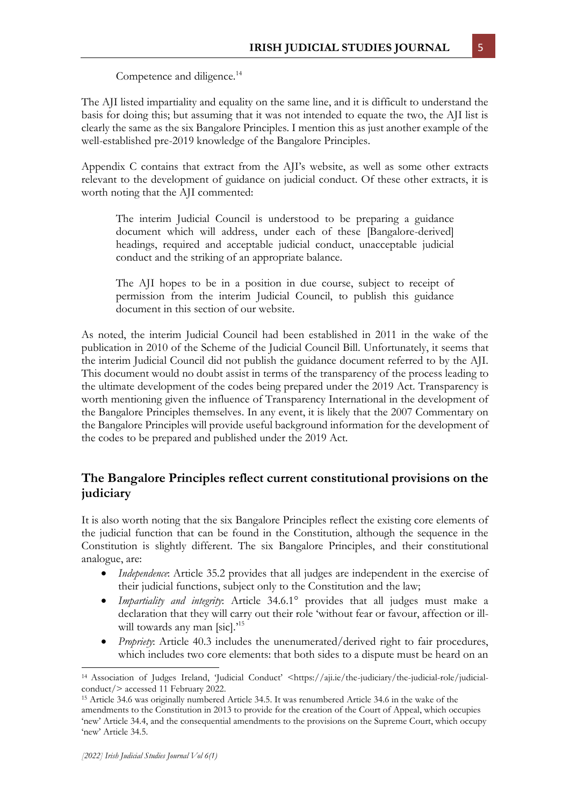Competence and diligence.<sup>14</sup>

The AJI listed impartiality and equality on the same line, and it is difficult to understand the basis for doing this; but assuming that it was not intended to equate the two, the AJI list is clearly the same as the six Bangalore Principles. I mention this as just another example of the well-established pre-2019 knowledge of the Bangalore Principles.

Appendix C contains that extract from the AJI's website, as well as some other extracts relevant to the development of guidance on judicial conduct. Of these other extracts, it is worth noting that the AJI commented:

The interim Judicial Council is understood to be preparing a guidance document which will address, under each of these [Bangalore-derived] headings, required and acceptable judicial conduct, unacceptable judicial conduct and the striking of an appropriate balance.

The AJI hopes to be in a position in due course, subject to receipt of permission from the interim Judicial Council, to publish this guidance document in this section of our website.

As noted, the interim Judicial Council had been established in 2011 in the wake of the publication in 2010 of the Scheme of the Judicial Council Bill. Unfortunately, it seems that the interim Judicial Council did not publish the guidance document referred to by the AJI. This document would no doubt assist in terms of the transparency of the process leading to the ultimate development of the codes being prepared under the 2019 Act. Transparency is worth mentioning given the influence of Transparency International in the development of the Bangalore Principles themselves. In any event, it is likely that the 2007 Commentary on the Bangalore Principles will provide useful background information for the development of the codes to be prepared and published under the 2019 Act.

# **The Bangalore Principles reflect current constitutional provisions on the judiciary**

It is also worth noting that the six Bangalore Principles reflect the existing core elements of the judicial function that can be found in the Constitution, although the sequence in the Constitution is slightly different. The six Bangalore Principles, and their constitutional analogue, are:

- *Independence*: Article 35.2 provides that all judges are independent in the exercise of their judicial functions, subject only to the Constitution and the law;
- *Impartiality and integrity*: Article 34.6.1° provides that all judges must make a declaration that they will carry out their role 'without fear or favour, affection or illwill towards any man [sic].' 15
- *Propriety*: Article 40.3 includes the unenumerated/derived right to fair procedures, which includes two core elements: that both sides to a dispute must be heard on an

<sup>&</sup>lt;sup>14</sup> Association of Judges Ireland, 'Judicial Conduct' <https://aji.ie/the-judiciary/the-judicial-role/judicialconduct/> accessed 11 February 2022.

<sup>15</sup> Article 34.6 was originally numbered Article 34.5. It was renumbered Article 34.6 in the wake of the amendments to the Constitution in 2013 to provide for the creation of the Court of Appeal, which occupies 'new' Article 34.4, and the consequential amendments to the provisions on the Supreme Court, which occupy 'new' Article 34.5.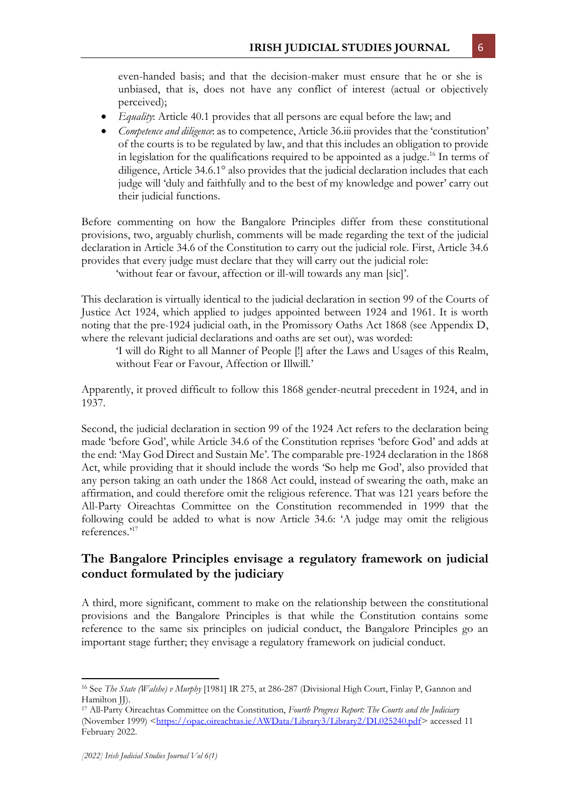even-handed basis; and that the decision-maker must ensure that he or she is unbiased, that is, does not have any conflict of interest (actual or objectively perceived);

- *Equality*: Article 40.1 provides that all persons are equal before the law; and
- *Competence and diligence*: as to competence, Article 36.iii provides that the 'constitution' of the courts is to be regulated by law, and that this includes an obligation to provide in legislation for the qualifications required to be appointed as a judge. <sup>16</sup> In terms of diligence, Article 34.6.1° also provides that the judicial declaration includes that each judge will 'duly and faithfully and to the best of my knowledge and power' carry out their judicial functions.

Before commenting on how the Bangalore Principles differ from these constitutional provisions, two, arguably churlish, comments will be made regarding the text of the judicial declaration in Article 34.6 of the Constitution to carry out the judicial role. First, Article 34.6 provides that every judge must declare that they will carry out the judicial role:

'without fear or favour, affection or ill-will towards any man [sic]'.

This declaration is virtually identical to the judicial declaration in section 99 of the Courts of Justice Act 1924, which applied to judges appointed between 1924 and 1961. It is worth noting that the pre-1924 judicial oath, in the Promissory Oaths Act 1868 (see Appendix D, where the relevant judicial declarations and oaths are set out), was worded:

'I will do Right to all Manner of People [!] after the Laws and Usages of this Realm, without Fear or Favour, Affection or Illwill.'

Apparently, it proved difficult to follow this 1868 gender-neutral precedent in 1924, and in 1937.

Second, the judicial declaration in section 99 of the 1924 Act refers to the declaration being made 'before God', while Article 34.6 of the Constitution reprises 'before God' and adds at the end: 'May God Direct and Sustain Me'. The comparable pre-1924 declaration in the 1868 Act, while providing that it should include the words 'So help me God', also provided that any person taking an oath under the 1868 Act could, instead of swearing the oath, make an affirmation, and could therefore omit the religious reference. That was 121 years before the All-Party Oireachtas Committee on the Constitution recommended in 1999 that the following could be added to what is now Article 34.6: 'A judge may omit the religious references.' 17

# **The Bangalore Principles envisage a regulatory framework on judicial conduct formulated by the judiciary**

A third, more significant, comment to make on the relationship between the constitutional provisions and the Bangalore Principles is that while the Constitution contains some reference to the same six principles on judicial conduct, the Bangalore Principles go an important stage further; they envisage a regulatory framework on judicial conduct.

<sup>16</sup> See *The State (Walshe) v Murphy* [1981] IR 275, at 286-287 (Divisional High Court, Finlay P, Gannon and Hamilton JJ).

<sup>17</sup> All-Party Oireachtas Committee on the Constitution, *Fourth Progress Report: The Courts and the Judiciary* (November 1999) [<https://opac.oireachtas.ie/AWData/Library3/Library2/DL025240.pdf>](https://opac.oireachtas.ie/AWData/Library3/Library2/DL025240.pdf) accessed 11 February 2022.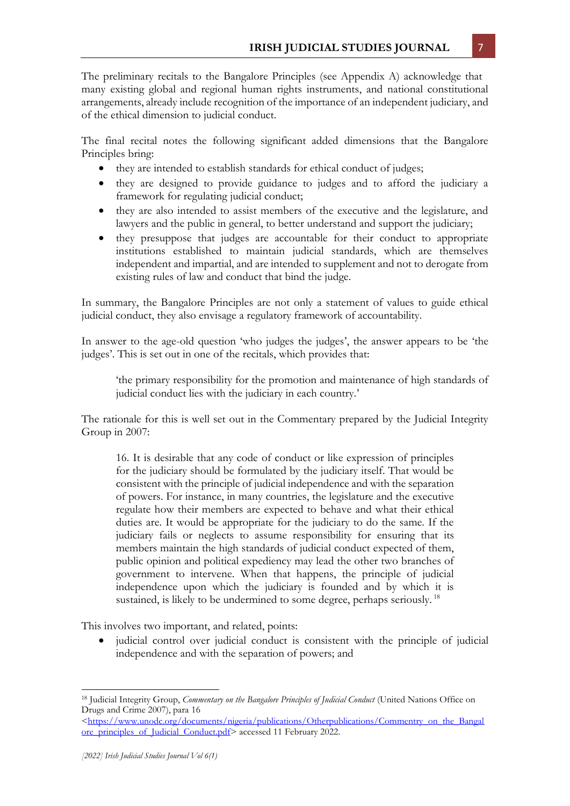The preliminary recitals to the Bangalore Principles (see Appendix A) acknowledge that many existing global and regional human rights instruments, and national constitutional arrangements, already include recognition of the importance of an independent judiciary, and of the ethical dimension to judicial conduct.

The final recital notes the following significant added dimensions that the Bangalore Principles bring:

- they are intended to establish standards for ethical conduct of judges;
- they are designed to provide guidance to judges and to afford the judiciary a framework for regulating judicial conduct;
- they are also intended to assist members of the executive and the legislature, and lawyers and the public in general, to better understand and support the judiciary;
- they presuppose that judges are accountable for their conduct to appropriate institutions established to maintain judicial standards, which are themselves independent and impartial, and are intended to supplement and not to derogate from existing rules of law and conduct that bind the judge.

In summary, the Bangalore Principles are not only a statement of values to guide ethical judicial conduct, they also envisage a regulatory framework of accountability.

In answer to the age-old question 'who judges the judges', the answer appears to be 'the judges'. This is set out in one of the recitals, which provides that:

'the primary responsibility for the promotion and maintenance of high standards of judicial conduct lies with the judiciary in each country.'

The rationale for this is well set out in the Commentary prepared by the Judicial Integrity Group in 2007:

16. It is desirable that any code of conduct or like expression of principles for the judiciary should be formulated by the judiciary itself. That would be consistent with the principle of judicial independence and with the separation of powers. For instance, in many countries, the legislature and the executive regulate how their members are expected to behave and what their ethical duties are. It would be appropriate for the judiciary to do the same. If the judiciary fails or neglects to assume responsibility for ensuring that its members maintain the high standards of judicial conduct expected of them, public opinion and political expediency may lead the other two branches of government to intervene. When that happens, the principle of judicial independence upon which the judiciary is founded and by which it is sustained, is likely to be undermined to some degree, perhaps seriously.<sup>18</sup>

This involves two important, and related, points:

• judicial control over judicial conduct is consistent with the principle of judicial independence and with the separation of powers; and

<sup>18</sup> Judicial Integrity Group, *Commentary on the Bangalore Principles of Judicial Conduct* (United Nations Office on Drugs and Crime 2007), para 16

[<sup>&</sup>lt;https://www.unodc.org/documents/nigeria/publications/Otherpublications/Commentry\\_on\\_the\\_Bangal](https://www.unodc.org/documents/nigeria/publications/Otherpublications/Commentry_on_the_Bangalore_principles_of_Judicial_Conduct.pdf) [ore\\_principles\\_of\\_Judicial\\_Conduct.pdf>](https://www.unodc.org/documents/nigeria/publications/Otherpublications/Commentry_on_the_Bangalore_principles_of_Judicial_Conduct.pdf) accessed 11 February 2022.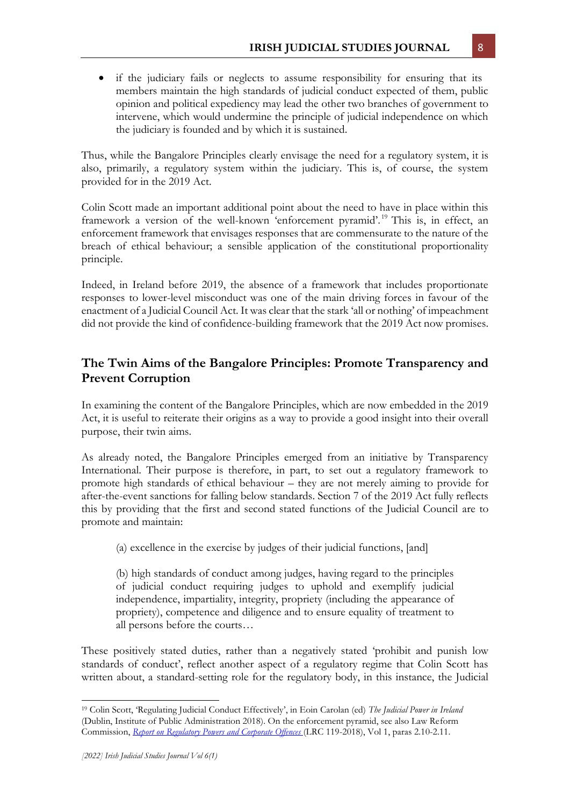• if the judiciary fails or neglects to assume responsibility for ensuring that its members maintain the high standards of judicial conduct expected of them, public opinion and political expediency may lead the other two branches of government to intervene, which would undermine the principle of judicial independence on which the judiciary is founded and by which it is sustained.

Thus, while the Bangalore Principles clearly envisage the need for a regulatory system, it is also, primarily, a regulatory system within the judiciary. This is, of course, the system provided for in the 2019 Act.

Colin Scott made an important additional point about the need to have in place within this framework a version of the well-known 'enforcement pyramid'.<sup>19</sup> This is, in effect, an enforcement framework that envisages responses that are commensurate to the nature of the breach of ethical behaviour; a sensible application of the constitutional proportionality principle.

Indeed, in Ireland before 2019, the absence of a framework that includes proportionate responses to lower-level misconduct was one of the main driving forces in favour of the enactment of a Judicial Council Act. It was clear that the stark 'all or nothing' of impeachment did not provide the kind of confidence-building framework that the 2019 Act now promises.

# **The Twin Aims of the Bangalore Principles: Promote Transparency and Prevent Corruption**

In examining the content of the Bangalore Principles, which are now embedded in the 2019 Act, it is useful to reiterate their origins as a way to provide a good insight into their overall purpose, their twin aims.

As already noted, the Bangalore Principles emerged from an initiative by Transparency International. Their purpose is therefore, in part, to set out a regulatory framework to promote high standards of ethical behaviour – they are not merely aiming to provide for after-the-event sanctions for falling below standards. Section 7 of the 2019 Act fully reflects this by providing that the first and second stated functions of the Judicial Council are to promote and maintain:

(a) excellence in the exercise by judges of their judicial functions, [and]

(b) high standards of conduct among judges, having regard to the principles of judicial conduct requiring judges to uphold and exemplify judicial independence, impartiality, integrity, propriety (including the appearance of propriety), competence and diligence and to ensure equality of treatment to all persons before the courts…

These positively stated duties, rather than a negatively stated 'prohibit and punish low standards of conduct', reflect another aspect of a regulatory regime that Colin Scott has written about, a standard-setting role for the regulatory body, in this instance, the Judicial

<sup>19</sup> Colin Scott, 'Regulating Judicial Conduct Effectively', in Eoin Carolan (ed) *The Judicial Power in Ireland* (Dublin, Institute of Public Administration 2018). On the enforcement pyramid, see also Law Reform Commission, *[Report on Regulatory Powers and Corporate Offences](https://publications.lawreform.ie/Portal/External/en-GB/RecordView/Index/50101)* (LRC 119-2018), Vol 1, paras 2.10-2.11.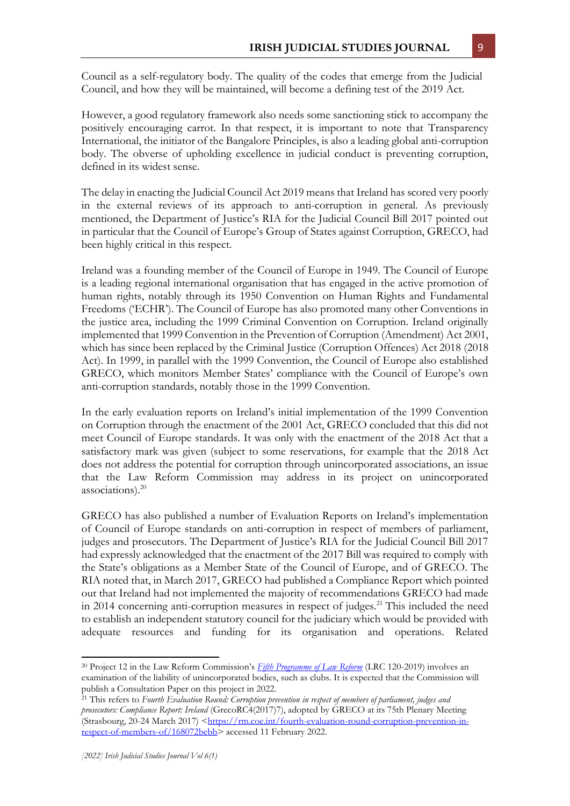Council as a self-regulatory body. The quality of the codes that emerge from the Judicial Council, and how they will be maintained, will become a defining test of the 2019 Act.

However, a good regulatory framework also needs some sanctioning stick to accompany the positively encouraging carrot. In that respect, it is important to note that Transparency International, the initiator of the Bangalore Principles, is also a leading global anti-corruption body. The obverse of upholding excellence in judicial conduct is preventing corruption, defined in its widest sense.

The delay in enacting the Judicial Council Act 2019 means that Ireland has scored very poorly in the external reviews of its approach to anti-corruption in general. As previously mentioned, the Department of Justice's RIA for the Judicial Council Bill 2017 pointed out in particular that the Council of Europe's Group of States against Corruption, GRECO, had been highly critical in this respect.

Ireland was a founding member of the Council of Europe in 1949. The Council of Europe is a leading regional international organisation that has engaged in the active promotion of human rights, notably through its 1950 Convention on Human Rights and Fundamental Freedoms ('ECHR'). The Council of Europe has also promoted many other Conventions in the justice area, including the 1999 Criminal Convention on Corruption. Ireland originally implemented that 1999 Convention in the Prevention of Corruption (Amendment) Act 2001, which has since been replaced by the Criminal Justice (Corruption Offences) Act 2018 (2018 Act). In 1999, in parallel with the 1999 Convention, the Council of Europe also established GRECO, which monitors Member States' compliance with the Council of Europe's own anti-corruption standards, notably those in the 1999 Convention.

In the early evaluation reports on Ireland's initial implementation of the 1999 Convention on Corruption through the enactment of the 2001 Act, GRECO concluded that this did not meet Council of Europe standards. It was only with the enactment of the 2018 Act that a satisfactory mark was given (subject to some reservations, for example that the 2018 Act does not address the potential for corruption through unincorporated associations, an issue that the Law Reform Commission may address in its project on unincorporated associations).<sup>20</sup>

GRECO has also published a number of Evaluation Reports on Ireland's implementation of Council of Europe standards on anti-corruption in respect of members of parliament, judges and prosecutors. The Department of Justice's RIA for the Judicial Council Bill 2017 had expressly acknowledged that the enactment of the 2017 Bill was required to comply with the State's obligations as a Member State of the Council of Europe, and of GRECO. The RIA noted that, in March 2017, GRECO had published a Compliance Report which pointed out that Ireland had not implemented the majority of recommendations GRECO had made in 2014 concerning anti-corruption measures in respect of judges.<sup>21</sup> This included the need to establish an independent statutory council for the judiciary which would be provided with adequate resources and funding for its organisation and operations. Related

<sup>20</sup> Project 12 in the Law Reform Commission's *[Fifth Programme of Law Reform](https://publications.lawreform.ie/Portal/External/en-GB/RecordView/Index/50929)* (LRC 120-2019) involves an examination of the liability of unincorporated bodies, such as clubs. It is expected that the Commission will publish a Consultation Paper on this project in 2022.

<sup>21</sup> This refers to *Fourth Evaluation Round: Corruption prevention in respect of members of parliament, judges and prosecutors: Compliance Report: Ireland* (GrecoRC4(2017)7), adopted by GRECO at its 75th Plenary Meeting (Strasbourg, 20-24 March 2017) [<https://rm.coe.int/fourth-evaluation-round-corruption-prevention-in](https://rm.coe.int/fourth-evaluation-round-corruption-prevention-in-respect-of-members-of/168072bebb)[respect-of-members-of/168072bebb>](https://rm.coe.int/fourth-evaluation-round-corruption-prevention-in-respect-of-members-of/168072bebb) accessed 11 February 2022.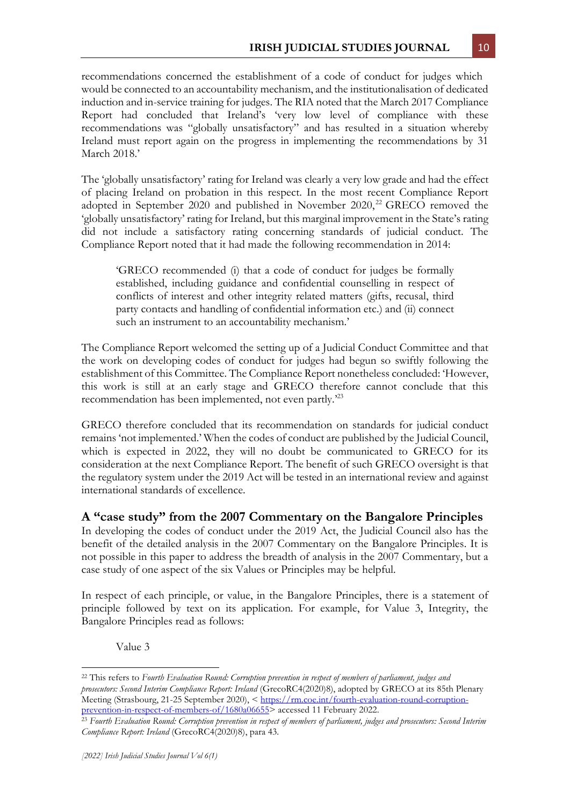recommendations concerned the establishment of a code of conduct for judges which would be connected to an accountability mechanism, and the institutionalisation of dedicated induction and in-service training for judges. The RIA noted that the March 2017 Compliance Report had concluded that Ireland's 'very low level of compliance with these recommendations was "globally unsatisfactory" and has resulted in a situation whereby Ireland must report again on the progress in implementing the recommendations by 31 March 2018.'

The 'globally unsatisfactory' rating for Ireland was clearly a very low grade and had the effect of placing Ireland on probation in this respect. In the most recent Compliance Report adopted in September 2020 and published in November 2020,<sup>22</sup> GRECO removed the 'globally unsatisfactory' rating for Ireland, but this marginal improvement in the State's rating did not include a satisfactory rating concerning standards of judicial conduct. The Compliance Report noted that it had made the following recommendation in 2014:

'GRECO recommended (i) that a code of conduct for judges be formally established, including guidance and confidential counselling in respect of conflicts of interest and other integrity related matters (gifts, recusal, third party contacts and handling of confidential information etc.) and (ii) connect such an instrument to an accountability mechanism.'

The Compliance Report welcomed the setting up of a Judicial Conduct Committee and that the work on developing codes of conduct for judges had begun so swiftly following the establishment of this Committee. The Compliance Report nonetheless concluded: 'However, this work is still at an early stage and GRECO therefore cannot conclude that this recommendation has been implemented, not even partly.<sup>23</sup>

GRECO therefore concluded that its recommendation on standards for judicial conduct remains 'not implemented.' When the codes of conduct are published by the Judicial Council, which is expected in 2022, they will no doubt be communicated to GRECO for its consideration at the next Compliance Report. The benefit of such GRECO oversight is that the regulatory system under the 2019 Act will be tested in an international review and against international standards of excellence.

**A "case study" from the 2007 Commentary on the Bangalore Principles**

In developing the codes of conduct under the 2019 Act, the Judicial Council also has the benefit of the detailed analysis in the 2007 Commentary on the Bangalore Principles. It is not possible in this paper to address the breadth of analysis in the 2007 Commentary, but a case study of one aspect of the six Values or Principles may be helpful.

In respect of each principle, or value, in the Bangalore Principles, there is a statement of principle followed by text on its application. For example, for Value 3, Integrity, the Bangalore Principles read as follows:

Value 3

<sup>22</sup> This refers to *Fourth Evaluation Round: Corruption prevention in respect of members of parliament, judges and prosecutors: Second Interim Compliance Report: Ireland* (GrecoRC4(2020)8), adopted by GRECO at its 85th Plenary Meeting (Strasbourg, 21-25 September 2020), < [https://rm.coe.int/fourth-evaluation-round-corruption](https://rm.coe.int/fourth-evaluation-round-corruption-prevention-in-respect-of-members-of/1680a06655)[prevention-in-respect-of-members-of/1680a06655>](https://rm.coe.int/fourth-evaluation-round-corruption-prevention-in-respect-of-members-of/1680a06655) accessed 11 February 2022.

<sup>23</sup> *Fourth Evaluation Round: Corruption prevention in respect of members of parliament, judges and prosecutors: Second Interim Compliance Report: Ireland* (GrecoRC4(2020)8), para 43.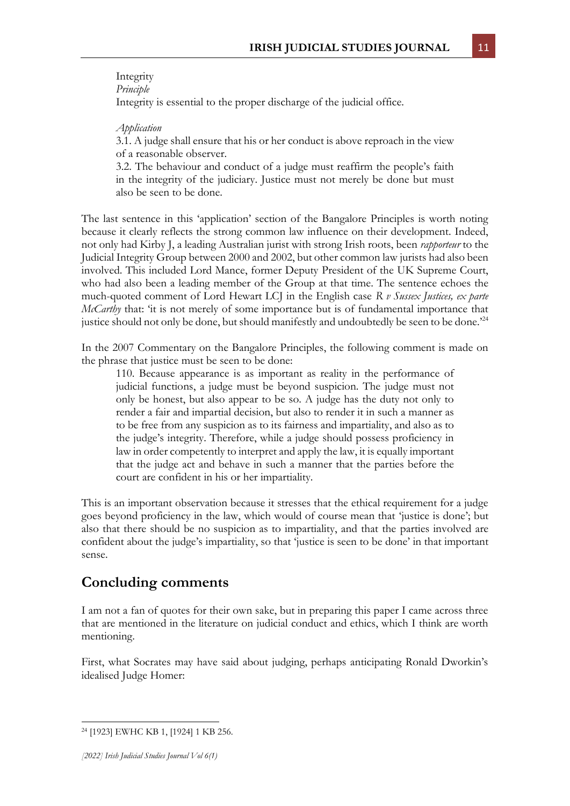# Integrity

*Principle*

Integrity is essential to the proper discharge of the judicial office.

*Application*

3.1. A judge shall ensure that his or her conduct is above reproach in the view of a reasonable observer.

3.2. The behaviour and conduct of a judge must reaffirm the people's faith in the integrity of the judiciary. Justice must not merely be done but must also be seen to be done.

The last sentence in this 'application' section of the Bangalore Principles is worth noting because it clearly reflects the strong common law influence on their development. Indeed, not only had Kirby J, a leading Australian jurist with strong Irish roots, been *rapporteur* to the Judicial Integrity Group between 2000 and 2002, but other common law jurists had also been involved. This included Lord Mance, former Deputy President of the UK Supreme Court, who had also been a leading member of the Group at that time. The sentence echoes the much-quoted comment of Lord Hewart LCJ in the English case *R v Sussex Justices, ex parte McCarthy* that: 'it is not merely of some importance but is of fundamental importance that justice should not only be done, but should manifestly and undoubtedly be seen to be done.<sup>224</sup>

In the 2007 Commentary on the Bangalore Principles, the following comment is made on the phrase that justice must be seen to be done:

110. Because appearance is as important as reality in the performance of judicial functions, a judge must be beyond suspicion. The judge must not only be honest, but also appear to be so. A judge has the duty not only to render a fair and impartial decision, but also to render it in such a manner as to be free from any suspicion as to its fairness and impartiality, and also as to the judge's integrity. Therefore, while a judge should possess proficiency in law in order competently to interpret and apply the law, it is equally important that the judge act and behave in such a manner that the parties before the court are confident in his or her impartiality.

This is an important observation because it stresses that the ethical requirement for a judge goes beyond proficiency in the law, which would of course mean that 'justice is done'; but also that there should be no suspicion as to impartiality, and that the parties involved are confident about the judge's impartiality, so that 'justice is seen to be done' in that important sense.

# **Concluding comments**

I am not a fan of quotes for their own sake, but in preparing this paper I came across three that are mentioned in the literature on judicial conduct and ethics, which I think are worth mentioning.

First, what Socrates may have said about judging, perhaps anticipating Ronald Dworkin's idealised Judge Homer:

<sup>24</sup> [1923] EWHC KB 1, [1924] 1 KB 256.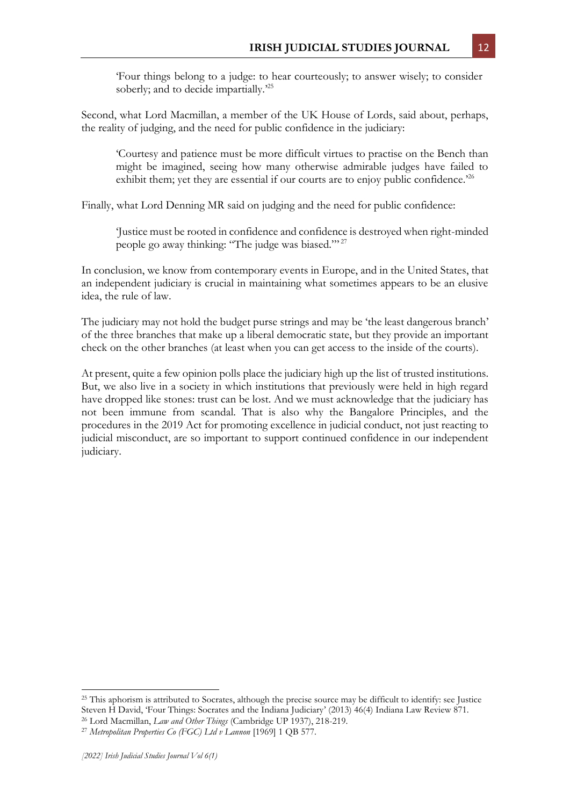'Four things belong to a judge: to hear courteously; to answer wisely; to consider soberly; and to decide impartially.' 25

Second, what Lord Macmillan, a member of the UK House of Lords, said about, perhaps, the reality of judging, and the need for public confidence in the judiciary:

'Courtesy and patience must be more difficult virtues to practise on the Bench than might be imagined, seeing how many otherwise admirable judges have failed to exhibit them; yet they are essential if our courts are to enjoy public confidence.<sup>226</sup>

Finally, what Lord Denning MR said on judging and the need for public confidence:

'Justice must be rooted in confidence and confidence is destroyed when right-minded people go away thinking: "The judge was biased."<sup>27</sup>

In conclusion, we know from contemporary events in Europe, and in the United States, that an independent judiciary is crucial in maintaining what sometimes appears to be an elusive idea, the rule of law.

The judiciary may not hold the budget purse strings and may be 'the least dangerous branch' of the three branches that make up a liberal democratic state, but they provide an important check on the other branches (at least when you can get access to the inside of the courts).

At present, quite a few opinion polls place the judiciary high up the list of trusted institutions. But, we also live in a society in which institutions that previously were held in high regard have dropped like stones: trust can be lost. And we must acknowledge that the judiciary has not been immune from scandal. That is also why the Bangalore Principles, and the procedures in the 2019 Act for promoting excellence in judicial conduct, not just reacting to judicial misconduct, are so important to support continued confidence in our independent judiciary.

<sup>&</sup>lt;sup>25</sup> This aphorism is attributed to Socrates, although the precise source may be difficult to identify: see Justice Steven H David, 'Four Things: Socrates and the Indiana Judiciary' (2013) 46(4) Indiana Law Review 871.

<sup>26</sup> Lord Macmillan, *Law and Other Things* (Cambridge UP 1937), 218-219.

<sup>27</sup> *Metropolitan Properties Co (FGC) Ltd v Lannon* [1969] 1 QB 577.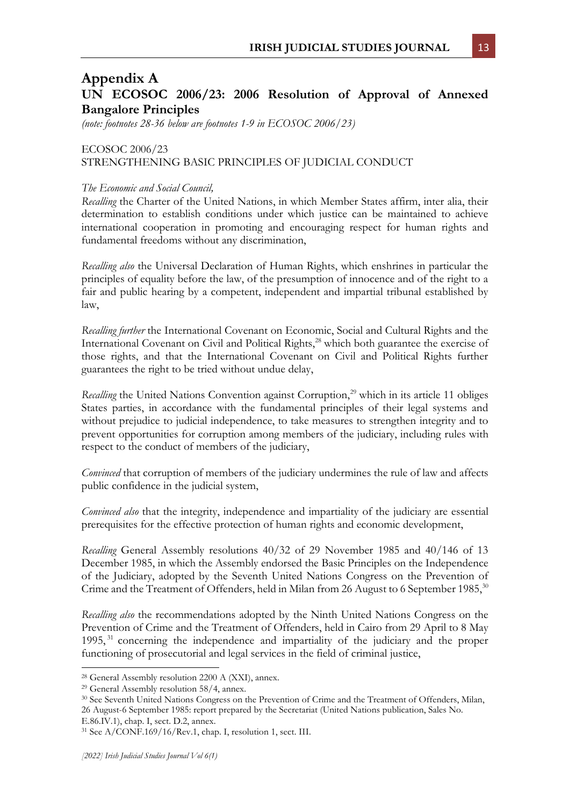# **Appendix A UN ECOSOC 2006/23: 2006 Resolution of Approval of Annexed Bangalore Principles**

*(note: footnotes 28-36 below are footnotes 1-9 in ECOSOC 2006/23)*

#### ECOSOC 2006/23 STRENGTHENING BASIC PRINCIPLES OF JUDICIAL CONDUCT

#### *The Economic and Social Council,*

*Recalling* the Charter of the United Nations, in which Member States affirm, inter alia, their determination to establish conditions under which justice can be maintained to achieve international cooperation in promoting and encouraging respect for human rights and fundamental freedoms without any discrimination,

*Recalling also* the Universal Declaration of Human Rights, which enshrines in particular the principles of equality before the law, of the presumption of innocence and of the right to a fair and public hearing by a competent, independent and impartial tribunal established by law,

*Recalling further* the International Covenant on Economic, Social and Cultural Rights and the International Covenant on Civil and Political Rights,<sup>28</sup> which both guarantee the exercise of those rights, and that the International Covenant on Civil and Political Rights further guarantees the right to be tried without undue delay,

*Recalling* the United Nations Convention against Corruption,<sup>29</sup> which in its article 11 obliges States parties, in accordance with the fundamental principles of their legal systems and without prejudice to judicial independence, to take measures to strengthen integrity and to prevent opportunities for corruption among members of the judiciary, including rules with respect to the conduct of members of the judiciary,

*Convinced* that corruption of members of the judiciary undermines the rule of law and affects public confidence in the judicial system,

*Convinced also* that the integrity, independence and impartiality of the judiciary are essential prerequisites for the effective protection of human rights and economic development,

*Recalling* General Assembly resolutions 40/32 of 29 November 1985 and 40/146 of 13 December 1985, in which the Assembly endorsed the Basic Principles on the Independence of the Judiciary, adopted by the Seventh United Nations Congress on the Prevention of Crime and the Treatment of Offenders, held in Milan from 26 August to 6 September 1985,  $30$ 

*Recalling also* the recommendations adopted by the Ninth United Nations Congress on the Prevention of Crime and the Treatment of Offenders, held in Cairo from 29 April to 8 May 1995,<sup>31</sup> concerning the independence and impartiality of the judiciary and the proper functioning of prosecutorial and legal services in the field of criminal justice,

<sup>28</sup> General Assembly resolution 2200 A (XXI), annex.

<sup>29</sup> General Assembly resolution 58/4, annex.

<sup>30</sup> See Seventh United Nations Congress on the Prevention of Crime and the Treatment of Offenders, Milan, 26 August-6 September 1985: report prepared by the Secretariat (United Nations publication, Sales No.

E.86.IV.1), chap. I, sect. D.2, annex.

<sup>31</sup> See A/CONF.169/16/Rev.1, chap. I, resolution 1, sect. III.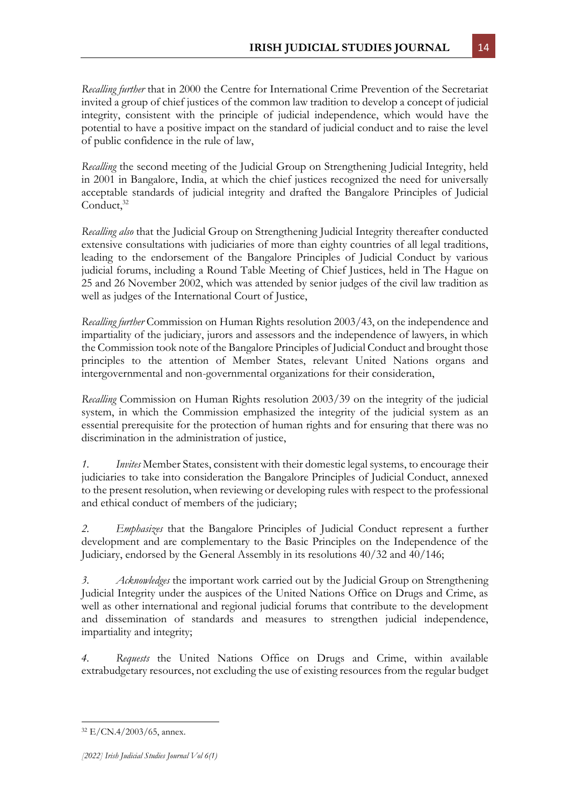*Recalling further* that in 2000 the Centre for International Crime Prevention of the Secretariat invited a group of chief justices of the common law tradition to develop a concept of judicial integrity, consistent with the principle of judicial independence, which would have the potential to have a positive impact on the standard of judicial conduct and to raise the level of public confidence in the rule of law,

*Recalling* the second meeting of the Judicial Group on Strengthening Judicial Integrity, held in 2001 in Bangalore, India, at which the chief justices recognized the need for universally acceptable standards of judicial integrity and drafted the Bangalore Principles of Judicial  $Conduct.<sup>32</sup>$ 

*Recalling also* that the Judicial Group on Strengthening Judicial Integrity thereafter conducted extensive consultations with judiciaries of more than eighty countries of all legal traditions, leading to the endorsement of the Bangalore Principles of Judicial Conduct by various judicial forums, including a Round Table Meeting of Chief Justices, held in The Hague on 25 and 26 November 2002, which was attended by senior judges of the civil law tradition as well as judges of the International Court of Justice,

*Recalling further* Commission on Human Rights resolution 2003/43, on the independence and impartiality of the judiciary, jurors and assessors and the independence of lawyers, in which the Commission took note of the Bangalore Principles of Judicial Conduct and brought those principles to the attention of Member States, relevant United Nations organs and intergovernmental and non-governmental organizations for their consideration,

*Recalling* Commission on Human Rights resolution 2003/39 on the integrity of the judicial system, in which the Commission emphasized the integrity of the judicial system as an essential prerequisite for the protection of human rights and for ensuring that there was no discrimination in the administration of justice,

*1. Invites* Member States, consistent with their domestic legal systems, to encourage their judiciaries to take into consideration the Bangalore Principles of Judicial Conduct, annexed to the present resolution, when reviewing or developing rules with respect to the professional and ethical conduct of members of the judiciary;

*2. Emphasizes* that the Bangalore Principles of Judicial Conduct represent a further development and are complementary to the Basic Principles on the Independence of the Judiciary, endorsed by the General Assembly in its resolutions 40/32 and 40/146;

*3. Acknowledges* the important work carried out by the Judicial Group on Strengthening Judicial Integrity under the auspices of the United Nations Office on Drugs and Crime, as well as other international and regional judicial forums that contribute to the development and dissemination of standards and measures to strengthen judicial independence, impartiality and integrity;

*4. Requests* the United Nations Office on Drugs and Crime, within available extrabudgetary resources, not excluding the use of existing resources from the regular budget

<sup>32</sup> E/CN.4/2003/65, annex.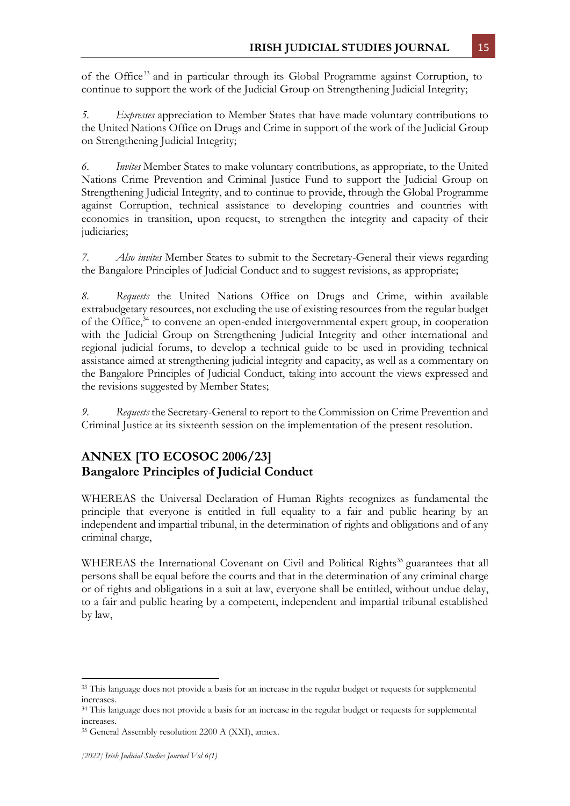of the Office<sup>33</sup> and in particular through its Global Programme against Corruption, to continue to support the work of the Judicial Group on Strengthening Judicial Integrity;

*5. Expresses* appreciation to Member States that have made voluntary contributions to the United Nations Office on Drugs and Crime in support of the work of the Judicial Group on Strengthening Judicial Integrity;

*6. Invites* Member States to make voluntary contributions, as appropriate, to the United Nations Crime Prevention and Criminal Justice Fund to support the Judicial Group on Strengthening Judicial Integrity, and to continue to provide, through the Global Programme against Corruption, technical assistance to developing countries and countries with economies in transition, upon request, to strengthen the integrity and capacity of their judiciaries;

*7. Also invites* Member States to submit to the Secretary-General their views regarding the Bangalore Principles of Judicial Conduct and to suggest revisions, as appropriate;

*8. Requests* the United Nations Office on Drugs and Crime, within available extrabudgetary resources, not excluding the use of existing resources from the regular budget of the Office,<sup>34</sup> to convene an open-ended intergovernmental expert group, in cooperation with the Judicial Group on Strengthening Judicial Integrity and other international and regional judicial forums, to develop a technical guide to be used in providing technical assistance aimed at strengthening judicial integrity and capacity, as well as a commentary on the Bangalore Principles of Judicial Conduct, taking into account the views expressed and the revisions suggested by Member States;

*9. Requests* the Secretary-General to report to the Commission on Crime Prevention and Criminal Justice at its sixteenth session on the implementation of the present resolution.

# **ANNEX [TO ECOSOC 2006/23] Bangalore Principles of Judicial Conduct**

WHEREAS the Universal Declaration of Human Rights recognizes as fundamental the principle that everyone is entitled in full equality to a fair and public hearing by an independent and impartial tribunal, in the determination of rights and obligations and of any criminal charge,

WHEREAS the International Covenant on Civil and Political Rights<sup>35</sup> guarantees that all persons shall be equal before the courts and that in the determination of any criminal charge or of rights and obligations in a suit at law, everyone shall be entitled, without undue delay, to a fair and public hearing by a competent, independent and impartial tribunal established by law,

<sup>&</sup>lt;sup>33</sup> This language does not provide a basis for an increase in the regular budget or requests for supplemental increases.

<sup>&</sup>lt;sup>34</sup> This language does not provide a basis for an increase in the regular budget or requests for supplemental increases.

<sup>35</sup> General Assembly resolution 2200 A (XXI), annex.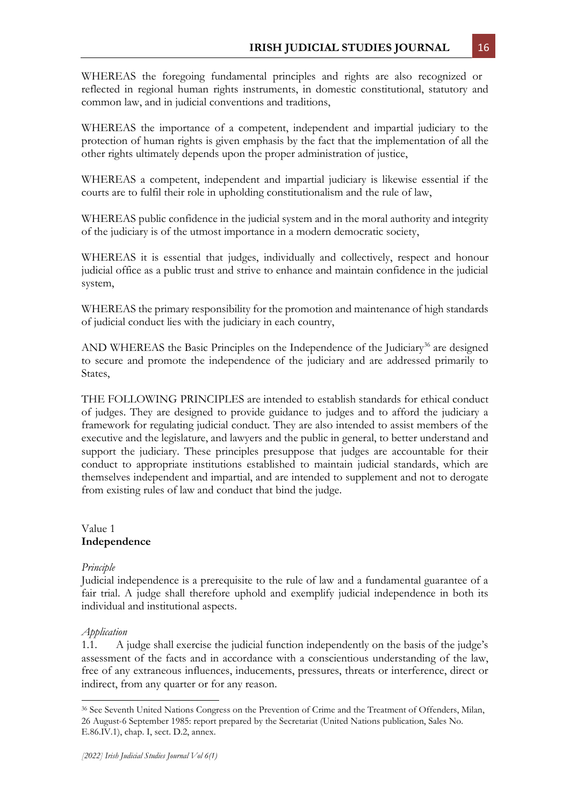WHEREAS the foregoing fundamental principles and rights are also recognized or reflected in regional human rights instruments, in domestic constitutional, statutory and common law, and in judicial conventions and traditions,

WHEREAS the importance of a competent, independent and impartial judiciary to the protection of human rights is given emphasis by the fact that the implementation of all the other rights ultimately depends upon the proper administration of justice,

WHEREAS a competent, independent and impartial judiciary is likewise essential if the courts are to fulfil their role in upholding constitutionalism and the rule of law,

WHEREAS public confidence in the judicial system and in the moral authority and integrity of the judiciary is of the utmost importance in a modern democratic society,

WHEREAS it is essential that judges, individually and collectively, respect and honour judicial office as a public trust and strive to enhance and maintain confidence in the judicial system,

WHEREAS the primary responsibility for the promotion and maintenance of high standards of judicial conduct lies with the judiciary in each country,

AND WHEREAS the Basic Principles on the Independence of the Judiciary<sup>36</sup> are designed to secure and promote the independence of the judiciary and are addressed primarily to States,

THE FOLLOWING PRINCIPLES are intended to establish standards for ethical conduct of judges. They are designed to provide guidance to judges and to afford the judiciary a framework for regulating judicial conduct. They are also intended to assist members of the executive and the legislature, and lawyers and the public in general, to better understand and support the judiciary. These principles presuppose that judges are accountable for their conduct to appropriate institutions established to maintain judicial standards, which are themselves independent and impartial, and are intended to supplement and not to derogate from existing rules of law and conduct that bind the judge.

#### Value 1 **Independence**

*Principle*

Judicial independence is a prerequisite to the rule of law and a fundamental guarantee of a fair trial. A judge shall therefore uphold and exemplify judicial independence in both its individual and institutional aspects.

### *Application*

1.1. A judge shall exercise the judicial function independently on the basis of the judge's assessment of the facts and in accordance with a conscientious understanding of the law, free of any extraneous influences, inducements, pressures, threats or interference, direct or indirect, from any quarter or for any reason.

<sup>36</sup> See Seventh United Nations Congress on the Prevention of Crime and the Treatment of Offenders, Milan, 26 August-6 September 1985: report prepared by the Secretariat (United Nations publication, Sales No. E.86.IV.1), chap. I, sect. D.2, annex.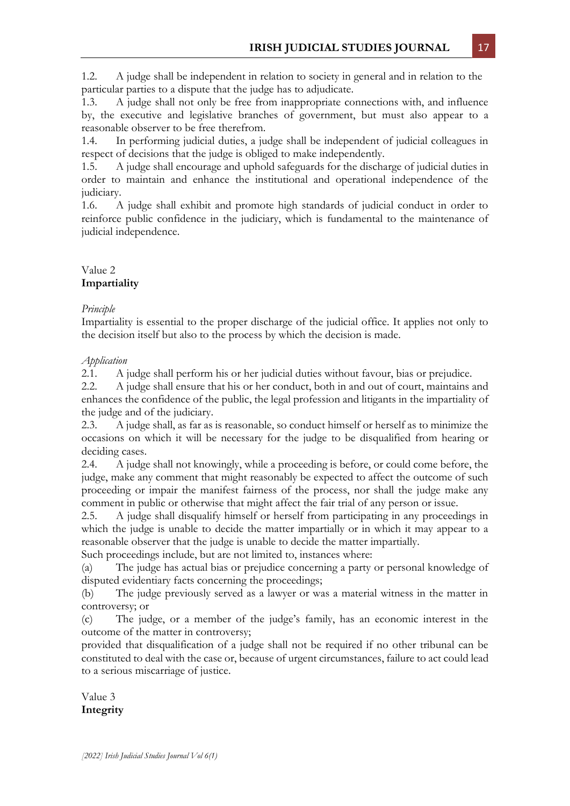1.2. A judge shall be independent in relation to society in general and in relation to the particular parties to a dispute that the judge has to adjudicate.

1.3. A judge shall not only be free from inappropriate connections with, and influence by, the executive and legislative branches of government, but must also appear to a reasonable observer to be free therefrom.

1.4. In performing judicial duties, a judge shall be independent of judicial colleagues in respect of decisions that the judge is obliged to make independently.

1.5. A judge shall encourage and uphold safeguards for the discharge of judicial duties in order to maintain and enhance the institutional and operational independence of the judiciary.

1.6. A judge shall exhibit and promote high standards of judicial conduct in order to reinforce public confidence in the judiciary, which is fundamental to the maintenance of judicial independence.

### Value 2 **Impartiality**

### *Principle*

Impartiality is essential to the proper discharge of the judicial office. It applies not only to the decision itself but also to the process by which the decision is made.

### *Application*

2.1. A judge shall perform his or her judicial duties without favour, bias or prejudice.

2.2. A judge shall ensure that his or her conduct, both in and out of court, maintains and enhances the confidence of the public, the legal profession and litigants in the impartiality of the judge and of the judiciary.

2.3. A judge shall, as far as is reasonable, so conduct himself or herself as to minimize the occasions on which it will be necessary for the judge to be disqualified from hearing or deciding cases.

2.4. A judge shall not knowingly, while a proceeding is before, or could come before, the judge, make any comment that might reasonably be expected to affect the outcome of such proceeding or impair the manifest fairness of the process, nor shall the judge make any comment in public or otherwise that might affect the fair trial of any person or issue.

2.5. A judge shall disqualify himself or herself from participating in any proceedings in which the judge is unable to decide the matter impartially or in which it may appear to a reasonable observer that the judge is unable to decide the matter impartially.

Such proceedings include, but are not limited to, instances where:

(a) The judge has actual bias or prejudice concerning a party or personal knowledge of disputed evidentiary facts concerning the proceedings;

(b) The judge previously served as a lawyer or was a material witness in the matter in controversy; or

(c) The judge, or a member of the judge's family, has an economic interest in the outcome of the matter in controversy;

provided that disqualification of a judge shall not be required if no other tribunal can be constituted to deal with the case or, because of urgent circumstances, failure to act could lead to a serious miscarriage of justice.

Value 3 **Integrity**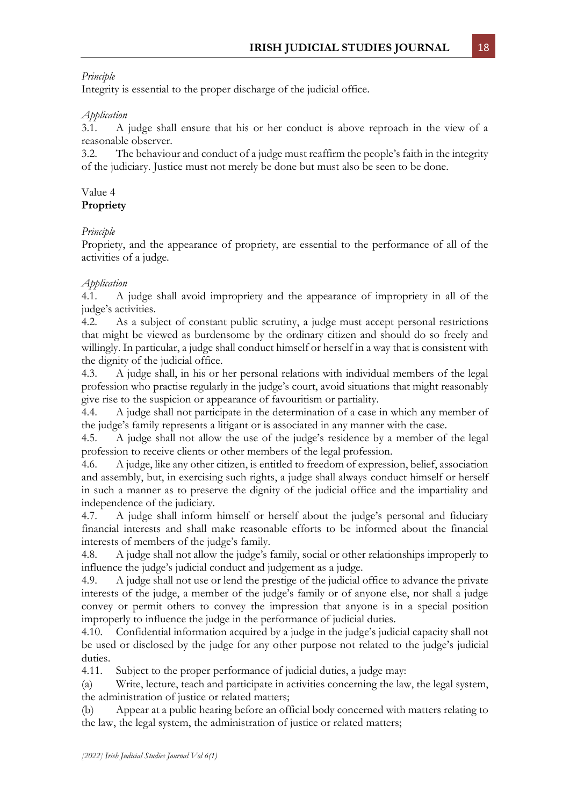# *Principle*

Integrity is essential to the proper discharge of the judicial office.

### *Application*

3.1. A judge shall ensure that his or her conduct is above reproach in the view of a reasonable observer.

3.2. The behaviour and conduct of a judge must reaffirm the people's faith in the integrity of the judiciary. Justice must not merely be done but must also be seen to be done.

#### Value 4 **Propriety**

### *Principle*

Propriety, and the appearance of propriety, are essential to the performance of all of the activities of a judge.

# *Application*

4.1. A judge shall avoid impropriety and the appearance of impropriety in all of the judge's activities.

4.2. As a subject of constant public scrutiny, a judge must accept personal restrictions that might be viewed as burdensome by the ordinary citizen and should do so freely and willingly. In particular, a judge shall conduct himself or herself in a way that is consistent with the dignity of the judicial office.

4.3. A judge shall, in his or her personal relations with individual members of the legal profession who practise regularly in the judge's court, avoid situations that might reasonably give rise to the suspicion or appearance of favouritism or partiality.

4.4. A judge shall not participate in the determination of a case in which any member of the judge's family represents a litigant or is associated in any manner with the case.

4.5. A judge shall not allow the use of the judge's residence by a member of the legal profession to receive clients or other members of the legal profession.

4.6. A judge, like any other citizen, is entitled to freedom of expression, belief, association and assembly, but, in exercising such rights, a judge shall always conduct himself or herself in such a manner as to preserve the dignity of the judicial office and the impartiality and independence of the judiciary.

4.7. A judge shall inform himself or herself about the judge's personal and fiduciary financial interests and shall make reasonable efforts to be informed about the financial interests of members of the judge's family.

4.8. A judge shall not allow the judge's family, social or other relationships improperly to influence the judge's judicial conduct and judgement as a judge.

4.9. A judge shall not use or lend the prestige of the judicial office to advance the private interests of the judge, a member of the judge's family or of anyone else, nor shall a judge convey or permit others to convey the impression that anyone is in a special position improperly to influence the judge in the performance of judicial duties.

4.10. Confidential information acquired by a judge in the judge's judicial capacity shall not be used or disclosed by the judge for any other purpose not related to the judge's judicial duties.

4.11. Subject to the proper performance of judicial duties, a judge may:

(a) Write, lecture, teach and participate in activities concerning the law, the legal system, the administration of justice or related matters;

(b) Appear at a public hearing before an official body concerned with matters relating to the law, the legal system, the administration of justice or related matters;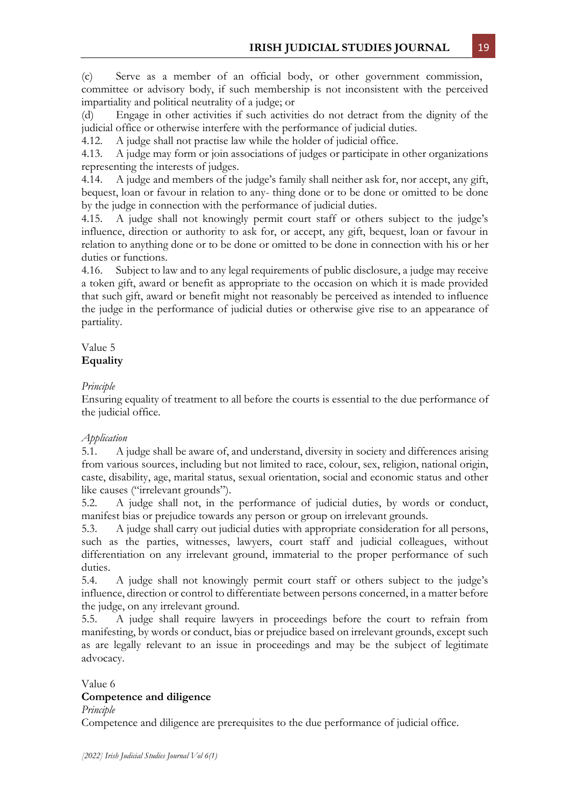(c) Serve as a member of an official body, or other government commission, committee or advisory body, if such membership is not inconsistent with the perceived impartiality and political neutrality of a judge; or

(d) Engage in other activities if such activities do not detract from the dignity of the judicial office or otherwise interfere with the performance of judicial duties.

4.12. A judge shall not practise law while the holder of judicial office.

4.13. A judge may form or join associations of judges or participate in other organizations representing the interests of judges.

4.14. A judge and members of the judge's family shall neither ask for, nor accept, any gift, bequest, loan or favour in relation to any- thing done or to be done or omitted to be done by the judge in connection with the performance of judicial duties.

4.15. A judge shall not knowingly permit court staff or others subject to the judge's influence, direction or authority to ask for, or accept, any gift, bequest, loan or favour in relation to anything done or to be done or omitted to be done in connection with his or her duties or functions.

4.16. Subject to law and to any legal requirements of public disclosure, a judge may receive a token gift, award or benefit as appropriate to the occasion on which it is made provided that such gift, award or benefit might not reasonably be perceived as intended to influence the judge in the performance of judicial duties or otherwise give rise to an appearance of partiality.

# Value 5 **Equality**

# *Principle*

Ensuring equality of treatment to all before the courts is essential to the due performance of the judicial office.

### *Application*

5.1. A judge shall be aware of, and understand, diversity in society and differences arising from various sources, including but not limited to race, colour, sex, religion, national origin, caste, disability, age, marital status, sexual orientation, social and economic status and other like causes ("irrelevant grounds").

5.2. A judge shall not, in the performance of judicial duties, by words or conduct, manifest bias or prejudice towards any person or group on irrelevant grounds.

5.3. A judge shall carry out judicial duties with appropriate consideration for all persons, such as the parties, witnesses, lawyers, court staff and judicial colleagues, without differentiation on any irrelevant ground, immaterial to the proper performance of such duties.

5.4. A judge shall not knowingly permit court staff or others subject to the judge's influence, direction or control to differentiate between persons concerned, in a matter before the judge, on any irrelevant ground.

5.5. A judge shall require lawyers in proceedings before the court to refrain from manifesting, by words or conduct, bias or prejudice based on irrelevant grounds, except such as are legally relevant to an issue in proceedings and may be the subject of legitimate advocacy.

# Value 6 **Competence and diligence**

### *Principle*

Competence and diligence are prerequisites to the due performance of judicial office.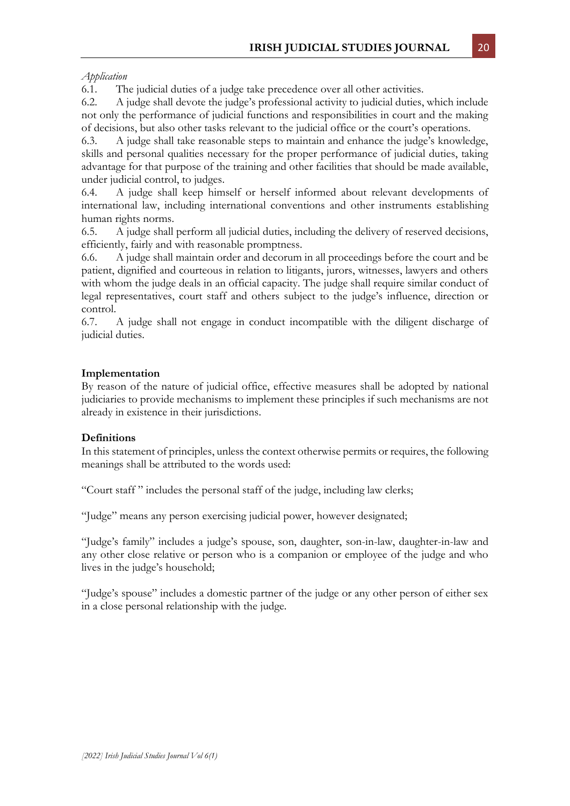# *Application*

6.1. The judicial duties of a judge take precedence over all other activities.

6.2. A judge shall devote the judge's professional activity to judicial duties, which include not only the performance of judicial functions and responsibilities in court and the making of decisions, but also other tasks relevant to the judicial office or the court's operations.

6.3. A judge shall take reasonable steps to maintain and enhance the judge's knowledge, skills and personal qualities necessary for the proper performance of judicial duties, taking advantage for that purpose of the training and other facilities that should be made available, under judicial control, to judges.

6.4. A judge shall keep himself or herself informed about relevant developments of international law, including international conventions and other instruments establishing human rights norms.

6.5. A judge shall perform all judicial duties, including the delivery of reserved decisions, efficiently, fairly and with reasonable promptness.

6.6. A judge shall maintain order and decorum in all proceedings before the court and be patient, dignified and courteous in relation to litigants, jurors, witnesses, lawyers and others with whom the judge deals in an official capacity. The judge shall require similar conduct of legal representatives, court staff and others subject to the judge's influence, direction or control.

6.7. A judge shall not engage in conduct incompatible with the diligent discharge of judicial duties.

# **Implementation**

By reason of the nature of judicial office, effective measures shall be adopted by national judiciaries to provide mechanisms to implement these principles if such mechanisms are not already in existence in their jurisdictions.

### **Definitions**

In this statement of principles, unless the context otherwise permits or requires, the following meanings shall be attributed to the words used:

"Court staff " includes the personal staff of the judge, including law clerks;

"Judge" means any person exercising judicial power, however designated;

"Judge's family" includes a judge's spouse, son, daughter, son-in-law, daughter-in-law and any other close relative or person who is a companion or employee of the judge and who lives in the judge's household;

"Judge's spouse" includes a domestic partner of the judge or any other person of either sex in a close personal relationship with the judge.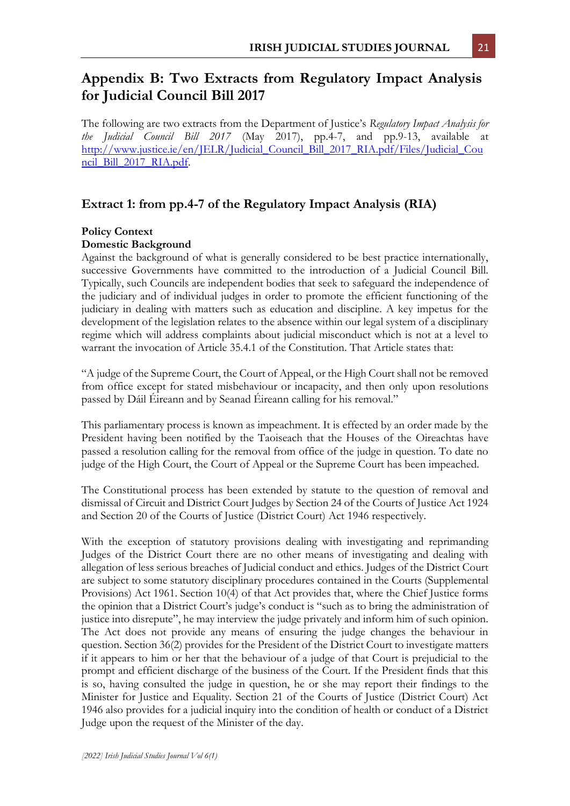# **Appendix B: Two Extracts from Regulatory Impact Analysis for Judicial Council Bill 2017**

The following are two extracts from the Department of Justice's *Regulatory Impact Analysis for the Judicial Council Bill 2017* (May 2017), pp.4-7, and pp.9-13, available at [http://www.justice.ie/en/JELR/Judicial\\_Council\\_Bill\\_2017\\_RIA.pdf/Files/Judicial\\_Cou](http://www.justice.ie/en/JELR/Judicial_Council_Bill_2017_RIA.pdf/Files/Judicial_Council_Bill_2017_RIA.pdf) [ncil\\_Bill\\_2017\\_RIA.pdf.](http://www.justice.ie/en/JELR/Judicial_Council_Bill_2017_RIA.pdf/Files/Judicial_Council_Bill_2017_RIA.pdf)

# **Extract 1: from pp.4-7 of the Regulatory Impact Analysis (RIA)**

### **Policy Context Domestic Background**

Against the background of what is generally considered to be best practice internationally, successive Governments have committed to the introduction of a Judicial Council Bill. Typically, such Councils are independent bodies that seek to safeguard the independence of the judiciary and of individual judges in order to promote the efficient functioning of the judiciary in dealing with matters such as education and discipline. A key impetus for the development of the legislation relates to the absence within our legal system of a disciplinary regime which will address complaints about judicial misconduct which is not at a level to warrant the invocation of Article 35.4.1 of the Constitution. That Article states that:

"A judge of the Supreme Court, the Court of Appeal, or the High Court shall not be removed from office except for stated misbehaviour or incapacity, and then only upon resolutions passed by Dáil Éireann and by Seanad Éireann calling for his removal."

This parliamentary process is known as impeachment. It is effected by an order made by the President having been notified by the Taoiseach that the Houses of the Oireachtas have passed a resolution calling for the removal from office of the judge in question. To date no judge of the High Court, the Court of Appeal or the Supreme Court has been impeached.

The Constitutional process has been extended by statute to the question of removal and dismissal of Circuit and District Court Judges by Section 24 of the Courts of Justice Act 1924 and Section 20 of the Courts of Justice (District Court) Act 1946 respectively.

With the exception of statutory provisions dealing with investigating and reprimanding Judges of the District Court there are no other means of investigating and dealing with allegation of less serious breaches of Judicial conduct and ethics. Judges of the District Court are subject to some statutory disciplinary procedures contained in the Courts (Supplemental Provisions) Act 1961. Section 10(4) of that Act provides that, where the Chief Justice forms the opinion that a District Court's judge's conduct is "such as to bring the administration of justice into disrepute", he may interview the judge privately and inform him of such opinion. The Act does not provide any means of ensuring the judge changes the behaviour in question. Section 36(2) provides for the President of the District Court to investigate matters if it appears to him or her that the behaviour of a judge of that Court is prejudicial to the prompt and efficient discharge of the business of the Court. If the President finds that this is so, having consulted the judge in question, he or she may report their findings to the Minister for Justice and Equality. Section 21 of the Courts of Justice (District Court) Act 1946 also provides for a judicial inquiry into the condition of health or conduct of a District Judge upon the request of the Minister of the day.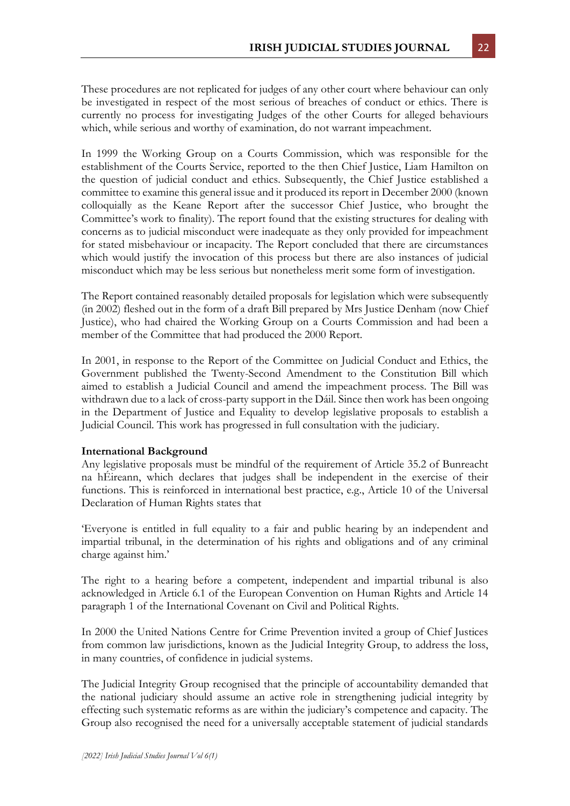These procedures are not replicated for judges of any other court where behaviour can only be investigated in respect of the most serious of breaches of conduct or ethics. There is currently no process for investigating Judges of the other Courts for alleged behaviours which, while serious and worthy of examination, do not warrant impeachment.

In 1999 the Working Group on a Courts Commission, which was responsible for the establishment of the Courts Service, reported to the then Chief Justice, Liam Hamilton on the question of judicial conduct and ethics. Subsequently, the Chief Justice established a committee to examine this general issue and it produced its report in December 2000 (known colloquially as the Keane Report after the successor Chief Justice, who brought the Committee's work to finality). The report found that the existing structures for dealing with concerns as to judicial misconduct were inadequate as they only provided for impeachment for stated misbehaviour or incapacity. The Report concluded that there are circumstances which would justify the invocation of this process but there are also instances of judicial misconduct which may be less serious but nonetheless merit some form of investigation.

The Report contained reasonably detailed proposals for legislation which were subsequently (in 2002) fleshed out in the form of a draft Bill prepared by Mrs Justice Denham (now Chief Justice), who had chaired the Working Group on a Courts Commission and had been a member of the Committee that had produced the 2000 Report.

In 2001, in response to the Report of the Committee on Judicial Conduct and Ethics, the Government published the Twenty-Second Amendment to the Constitution Bill which aimed to establish a Judicial Council and amend the impeachment process. The Bill was withdrawn due to a lack of cross-party support in the Dáil. Since then work has been ongoing in the Department of Justice and Equality to develop legislative proposals to establish a Judicial Council. This work has progressed in full consultation with the judiciary.

#### **International Background**

Any legislative proposals must be mindful of the requirement of Article 35.2 of Bunreacht na hÉireann, which declares that judges shall be independent in the exercise of their functions. This is reinforced in international best practice, e.g., Article 10 of the Universal Declaration of Human Rights states that

'Everyone is entitled in full equality to a fair and public hearing by an independent and impartial tribunal, in the determination of his rights and obligations and of any criminal charge against him.'

The right to a hearing before a competent, independent and impartial tribunal is also acknowledged in Article 6.1 of the European Convention on Human Rights and Article 14 paragraph 1 of the International Covenant on Civil and Political Rights.

In 2000 the United Nations Centre for Crime Prevention invited a group of Chief Justices from common law jurisdictions, known as the Judicial Integrity Group, to address the loss, in many countries, of confidence in judicial systems.

The Judicial Integrity Group recognised that the principle of accountability demanded that the national judiciary should assume an active role in strengthening judicial integrity by effecting such systematic reforms as are within the judiciary's competence and capacity. The Group also recognised the need for a universally acceptable statement of judicial standards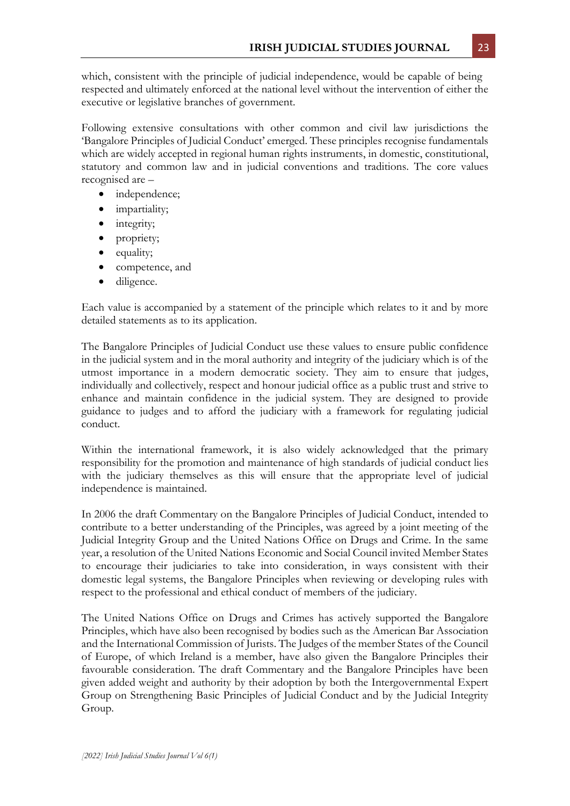which, consistent with the principle of judicial independence, would be capable of being respected and ultimately enforced at the national level without the intervention of either the executive or legislative branches of government.

Following extensive consultations with other common and civil law jurisdictions the 'Bangalore Principles of Judicial Conduct' emerged. These principles recognise fundamentals which are widely accepted in regional human rights instruments, in domestic, constitutional, statutory and common law and in judicial conventions and traditions. The core values recognised are –

- independence;
- impartiality;
- integrity;
- propriety;
- equality;
- competence, and
- diligence.

Each value is accompanied by a statement of the principle which relates to it and by more detailed statements as to its application.

The Bangalore Principles of Judicial Conduct use these values to ensure public confidence in the judicial system and in the moral authority and integrity of the judiciary which is of the utmost importance in a modern democratic society. They aim to ensure that judges, individually and collectively, respect and honour judicial office as a public trust and strive to enhance and maintain confidence in the judicial system. They are designed to provide guidance to judges and to afford the judiciary with a framework for regulating judicial conduct.

Within the international framework, it is also widely acknowledged that the primary responsibility for the promotion and maintenance of high standards of judicial conduct lies with the judiciary themselves as this will ensure that the appropriate level of judicial independence is maintained.

In 2006 the draft Commentary on the Bangalore Principles of Judicial Conduct, intended to contribute to a better understanding of the Principles, was agreed by a joint meeting of the Judicial Integrity Group and the United Nations Office on Drugs and Crime. In the same year, a resolution of the United Nations Economic and Social Council invited Member States to encourage their judiciaries to take into consideration, in ways consistent with their domestic legal systems, the Bangalore Principles when reviewing or developing rules with respect to the professional and ethical conduct of members of the judiciary.

The United Nations Office on Drugs and Crimes has actively supported the Bangalore Principles, which have also been recognised by bodies such as the American Bar Association and the International Commission of Jurists. The Judges of the member States of the Council of Europe, of which Ireland is a member, have also given the Bangalore Principles their favourable consideration. The draft Commentary and the Bangalore Principles have been given added weight and authority by their adoption by both the Intergovernmental Expert Group on Strengthening Basic Principles of Judicial Conduct and by the Judicial Integrity Group.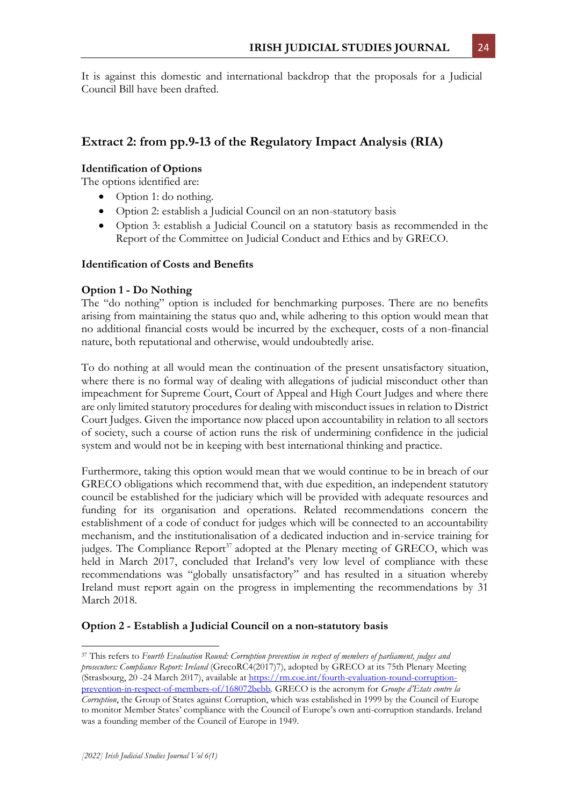It is against this domestic and international backdrop that the proposals for a Judicial Council Bill have been drafted.

# **Extract 2: from pp.9-13 of the Regulatory Impact Analysis (RIA)**

# **Identification of Options**

The options identified are:

- Option 1: do nothing.
- Option 2: establish a Judicial Council on an non-statutory basis
- Option 3: establish a Judicial Council on a statutory basis as recommended in the Report of the Committee on Judicial Conduct and Ethics and by GRECO.

### **Identification of Costs and Benefits**

#### **Option 1 - Do Nothing**

The "do nothing" option is included for benchmarking purposes. There are no benefits arising from maintaining the status quo and, while adhering to this option would mean that no additional financial costs would be incurred by the exchequer, costs of a non-financial nature, both reputational and otherwise, would undoubtedly arise.

To do nothing at all would mean the continuation of the present unsatisfactory situation, where there is no formal way of dealing with allegations of judicial misconduct other than impeachment for Supreme Court, Court of Appeal and High Court Judges and where there are only limited statutory procedures for dealing with misconduct issues in relation to District Court Judges. Given the importance now placed upon accountability in relation to all sectors of society, such a course of action runs the risk of undermining confidence in the judicial system and would not be in keeping with best international thinking and practice.

Furthermore, taking this option would mean that we would continue to be in breach of our GRECO obligations which recommend that, with due expedition, an independent statutory council be established for the judiciary which will be provided with adequate resources and funding for its organisation and operations. Related recommendations concern the establishment of a code of conduct for judges which will be connected to an accountability mechanism, and the institutionalisation of a dedicated induction and in-service training for judges. The Compliance Report<sup>37</sup> adopted at the Plenary meeting of GRECO, which was held in March 2017, concluded that Ireland's very low level of compliance with these recommendations was "globally unsatisfactory" and has resulted in a situation whereby Ireland must report again on the progress in implementing the recommendations by 31 March 2018.

### **Option 2 - Establish a Judicial Council on a non-statutory basis**

<sup>37</sup> This refers to *Fourth Evaluation Round: Corruption prevention in respect of members of parliament, judges and prosecutors: Compliance Report: Ireland* (GrecoRC4(2017)7), adopted by GRECO at its 75th Plenary Meeting (Strasbourg, 20 -24 March 2017), available at [https://rm.coe.int/fourth-evaluation-round-corruption](https://rm.coe.int/fourth-evaluation-round-corruption-prevention-in-respect-of-members-of/168072bebb)[prevention-in-respect-of-members-of/168072bebb.](https://rm.coe.int/fourth-evaluation-round-corruption-prevention-in-respect-of-members-of/168072bebb) GRECO is the acronym for *Groupe d'Etats contre la Corruption*, the Group of States against Corruption, which was established in 1999 by the Council of Europe to monitor Member States' compliance with the Council of Europe's own anti-corruption standards. Ireland was a founding member of the Council of Europe in 1949.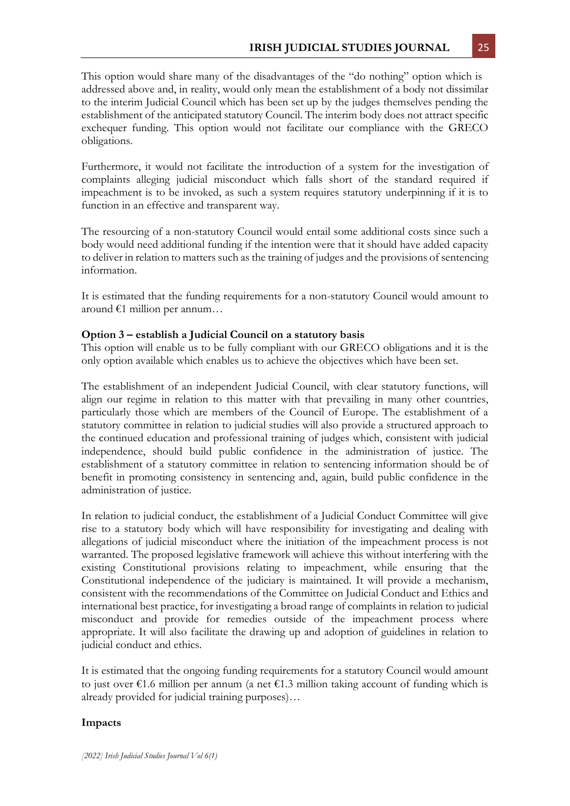This option would share many of the disadvantages of the "do nothing" option which is addressed above and, in reality, would only mean the establishment of a body not dissimilar to the interim Judicial Council which has been set up by the judges themselves pending the establishment of the anticipated statutory Council. The interim body does not attract specific exchequer funding. This option would not facilitate our compliance with the GRECO obligations.

Furthermore, it would not facilitate the introduction of a system for the investigation of complaints alleging judicial misconduct which falls short of the standard required if impeachment is to be invoked, as such a system requires statutory underpinning if it is to function in an effective and transparent way.

The resourcing of a non-statutory Council would entail some additional costs since such a body would need additional funding if the intention were that it should have added capacity to deliver in relation to matters such as the training of judges and the provisions of sentencing information.

It is estimated that the funding requirements for a non-statutory Council would amount to around €1 million per annum…

#### **Option 3 – establish a Judicial Council on a statutory basis**

This option will enable us to be fully compliant with our GRECO obligations and it is the only option available which enables us to achieve the objectives which have been set.

The establishment of an independent Judicial Council, with clear statutory functions, will align our regime in relation to this matter with that prevailing in many other countries, particularly those which are members of the Council of Europe. The establishment of a statutory committee in relation to judicial studies will also provide a structured approach to the continued education and professional training of judges which, consistent with judicial independence, should build public confidence in the administration of justice. The establishment of a statutory committee in relation to sentencing information should be of benefit in promoting consistency in sentencing and, again, build public confidence in the administration of justice.

In relation to judicial conduct, the establishment of a Judicial Conduct Committee will give rise to a statutory body which will have responsibility for investigating and dealing with allegations of judicial misconduct where the initiation of the impeachment process is not warranted. The proposed legislative framework will achieve this without interfering with the existing Constitutional provisions relating to impeachment, while ensuring that the Constitutional independence of the judiciary is maintained. It will provide a mechanism, consistent with the recommendations of the Committee on Judicial Conduct and Ethics and international best practice, for investigating a broad range of complaints in relation to judicial misconduct and provide for remedies outside of the impeachment process where appropriate. It will also facilitate the drawing up and adoption of guidelines in relation to judicial conduct and ethics.

It is estimated that the ongoing funding requirements for a statutory Council would amount to just over €1.6 million per annum (a net €1.3 million taking account of funding which is already provided for judicial training purposes)…

### **Impacts**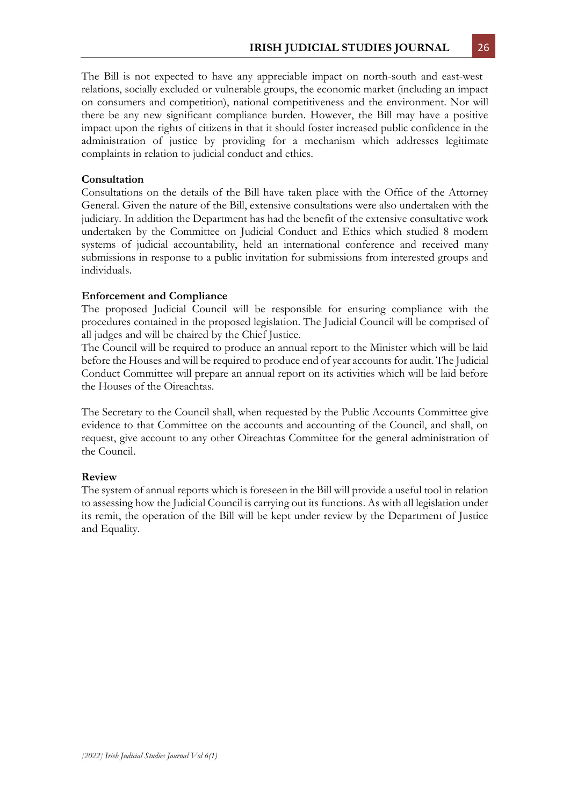The Bill is not expected to have any appreciable impact on north-south and east-west relations, socially excluded or vulnerable groups, the economic market (including an impact on consumers and competition), national competitiveness and the environment. Nor will there be any new significant compliance burden. However, the Bill may have a positive impact upon the rights of citizens in that it should foster increased public confidence in the administration of justice by providing for a mechanism which addresses legitimate complaints in relation to judicial conduct and ethics.

#### **Consultation**

Consultations on the details of the Bill have taken place with the Office of the Attorney General. Given the nature of the Bill, extensive consultations were also undertaken with the judiciary. In addition the Department has had the benefit of the extensive consultative work undertaken by the Committee on Judicial Conduct and Ethics which studied 8 modern systems of judicial accountability, held an international conference and received many submissions in response to a public invitation for submissions from interested groups and individuals.

#### **Enforcement and Compliance**

The proposed Judicial Council will be responsible for ensuring compliance with the procedures contained in the proposed legislation. The Judicial Council will be comprised of all judges and will be chaired by the Chief Justice.

The Council will be required to produce an annual report to the Minister which will be laid before the Houses and will be required to produce end of year accounts for audit. The Judicial Conduct Committee will prepare an annual report on its activities which will be laid before the Houses of the Oireachtas.

The Secretary to the Council shall, when requested by the Public Accounts Committee give evidence to that Committee on the accounts and accounting of the Council, and shall, on request, give account to any other Oireachtas Committee for the general administration of the Council.

#### **Review**

The system of annual reports which is foreseen in the Bill will provide a useful tool in relation to assessing how the Judicial Council is carrying out its functions. As with all legislation under its remit, the operation of the Bill will be kept under review by the Department of Justice and Equality.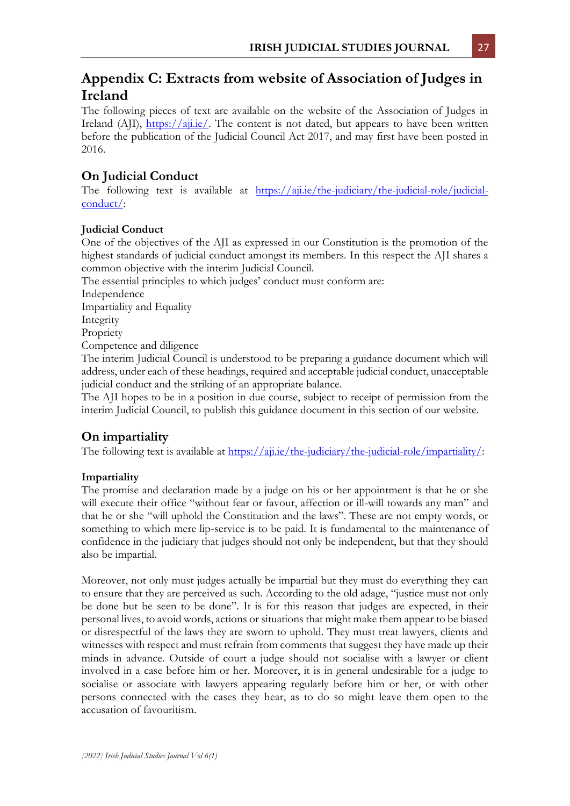# **Appendix C: Extracts from website of Association of Judges in Ireland**

The following pieces of text are available on the website of the Association of Judges in Ireland (AJI), [https://aji.ie/.](https://aji.ie/) The content is not dated, but appears to have been written before the publication of the Judicial Council Act 2017, and may first have been posted in 2016.

# **On Judicial Conduct**

The following text is available at [https://aji.ie/the-judiciary/the-judicial-role/judicial](https://aji.ie/the-judiciary/the-judicial-role/judicial-conduct/)[conduct/:](https://aji.ie/the-judiciary/the-judicial-role/judicial-conduct/)

# **Judicial Conduct**

One of the objectives of the AJI as expressed in our Constitution is the promotion of the highest standards of judicial conduct amongst its members. In this respect the AJI shares a common objective with the interim Judicial Council.

The essential principles to which judges' conduct must conform are:

Independence

Impartiality and Equality

Integrity

Propriety

Competence and diligence

The interim Judicial Council is understood to be preparing a guidance document which will address, under each of these headings, required and acceptable judicial conduct, unacceptable judicial conduct and the striking of an appropriate balance.

The AJI hopes to be in a position in due course, subject to receipt of permission from the interim Judicial Council, to publish this guidance document in this section of our website.

# **On impartiality**

The following text is available at [https://aji.ie/the-judiciary/the-judicial-role/impartiality/:](https://aji.ie/the-judiciary/the-judicial-role/impartiality/)

# **Impartiality**

The promise and declaration made by a judge on his or her appointment is that he or she will execute their office "without fear or favour, affection or ill-will towards any man" and that he or she "will uphold the Constitution and the laws". These are not empty words, or something to which mere lip-service is to be paid. It is fundamental to the maintenance of confidence in the judiciary that judges should not only be independent, but that they should also be impartial.

Moreover, not only must judges actually be impartial but they must do everything they can to ensure that they are perceived as such. According to the old adage, "justice must not only be done but be seen to be done". It is for this reason that judges are expected, in their personal lives, to avoid words, actions or situations that might make them appear to be biased or disrespectful of the laws they are sworn to uphold. They must treat lawyers, clients and witnesses with respect and must refrain from comments that suggest they have made up their minds in advance. Outside of court a judge should not socialise with a lawyer or client involved in a case before him or her. Moreover, it is in general undesirable for a judge to socialise or associate with lawyers appearing regularly before him or her, or with other persons connected with the cases they hear, as to do so might leave them open to the accusation of favouritism.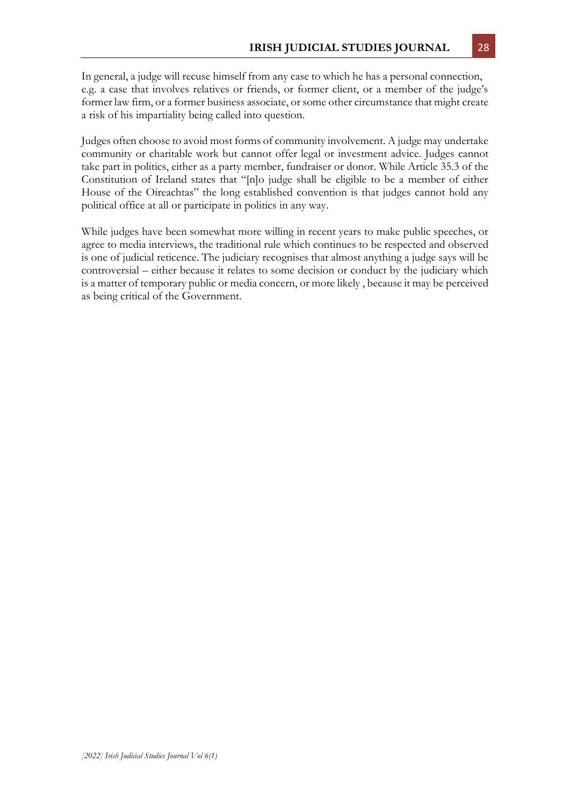In general, a judge will recuse himself from any case to which he has a personal connection, e.g. a case that involves relatives or friends, or former client, or a member of the judge's former law firm, or a former business associate, or some other circumstance that might create a risk of his impartiality being called into question.

Judges often choose to avoid most forms of community involvement. A judge may undertake community or charitable work but cannot offer legal or investment advice. Judges cannot take part in politics, either as a party member, fundraiser or donor. While Article 35.3 of the Constitution of Ireland states that "[n]o judge shall be eligible to be a member of either House of the Oireachtas" the long established convention is that judges cannot hold any political office at all or participate in politics in any way.

While judges have been somewhat more willing in recent years to make public speeches, or agree to media interviews, the traditional rule which continues to be respected and observed is one of judicial reticence. The judiciary recognises that almost anything a judge says will be controversial – either because it relates to some decision or conduct by the judiciary which is a matter of temporary public or media concern, or more likely , because it may be perceived as being critical of the Government.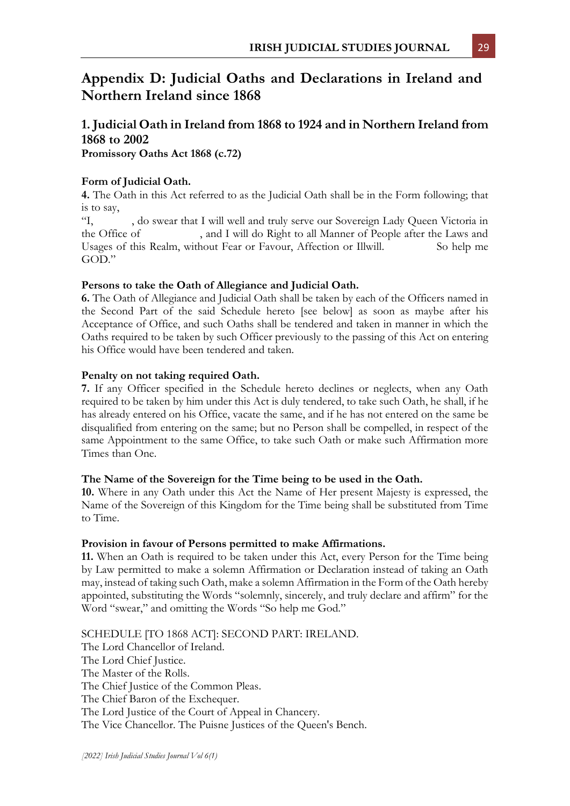# **Appendix D: Judicial Oaths and Declarations in Ireland and Northern Ireland since 1868**

# **1. Judicial Oath in Ireland from 1868 to 1924 and in Northern Ireland from 1868 to 2002**

**Promissory Oaths Act 1868 (c.72)**

# **Form of Judicial Oath.**

**4.** The Oath in this Act referred to as the Judicial Oath shall be in the Form following; that is to say,

"I, , do swear that I will well and truly serve our Sovereign Lady Queen Victoria in the Office of , and I will do Right to all Manner of People after the Laws and Usages of this Realm, without Fear or Favour, Affection or Illwill. So help me GOD."

# **Persons to take the Oath of Allegiance and Judicial Oath.**

**6.** The Oath of Allegiance and Judicial Oath shall be taken by each of the Officers named in the Second Part of the said Schedule hereto [see below] as soon as maybe after his Acceptance of Office, and such Oaths shall be tendered and taken in manner in which the Oaths required to be taken by such Officer previously to the passing of this Act on entering his Office would have been tendered and taken.

# **Penalty on not taking required Oath.**

**7.** If any Officer specified in the Schedule hereto declines or neglects, when any Oath required to be taken by him under this Act is duly tendered, to take such Oath, he shall, if he has already entered on his Office, vacate the same, and if he has not entered on the same be disqualified from entering on the same; but no Person shall be compelled, in respect of the same Appointment to the same Office, to take such Oath or make such Affirmation more Times than One.

### **The Name of the Sovereign for the Time being to be used in the Oath.**

**10.** Where in any Oath under this Act the Name of Her present Majesty is expressed, the Name of the Sovereign of this Kingdom for the Time being shall be substituted from Time to Time.

### **Provision in favour of Persons permitted to make Affirmations.**

**11.** When an Oath is required to be taken under this Act, every Person for the Time being by Law permitted to make a solemn Affirmation or Declaration instead of taking an Oath may, instead of taking such Oath, make a solemn Affirmation in the Form of the Oath hereby appointed, substituting the Words "solemnly, sincerely, and truly declare and affirm" for the Word "swear," and omitting the Words "So help me God."

SCHEDULE [TO 1868 ACT]: SECOND PART: IRELAND. The Lord Chancellor of Ireland. The Lord Chief Justice. The Master of the Rolls. The Chief Justice of the Common Pleas. The Chief Baron of the Exchequer. The Lord Justice of the Court of Appeal in Chancery. The Vice Chancellor. The Puisne Justices of the Queen's Bench.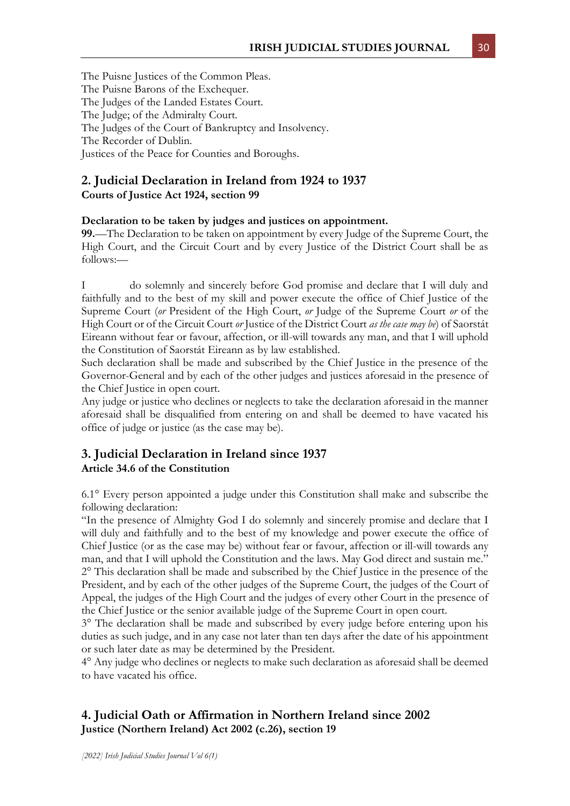The Puisne Justices of the Common Pleas. The Puisne Barons of the Exchequer. The Judges of the Landed Estates Court. The Judge; of the Admiralty Court. The Judges of the Court of Bankruptcy and Insolvency. The Recorder of Dublin. Justices of the Peace for Counties and Boroughs.

# **2. Judicial Declaration in Ireland from 1924 to 1937 Courts of Justice Act 1924, section 99**

#### **Declaration to be taken by judges and justices on appointment.**

**99.**—The Declaration to be taken on appointment by every Judge of the Supreme Court, the High Court, and the Circuit Court and by every Justice of the District Court shall be as follows:—

I do solemnly and sincerely before God promise and declare that I will duly and faithfully and to the best of my skill and power execute the office of Chief Justice of the Supreme Court (*or* President of the High Court, *or* Judge of the Supreme Court *or* of the High Court or of the Circuit Court *or* Justice of the District Court *as the case may be*) of Saorstát Eireann without fear or favour, affection, or ill-will towards any man, and that I will uphold the Constitution of Saorstát Eireann as by law established.

Such declaration shall be made and subscribed by the Chief Justice in the presence of the Governor-General and by each of the other judges and justices aforesaid in the presence of the Chief Justice in open court.

Any judge or justice who declines or neglects to take the declaration aforesaid in the manner aforesaid shall be disqualified from entering on and shall be deemed to have vacated his office of judge or justice (as the case may be).

# **3. Judicial Declaration in Ireland since 1937 Article 34.6 of the Constitution**

6.1° Every person appointed a judge under this Constitution shall make and subscribe the following declaration:

"In the presence of Almighty God I do solemnly and sincerely promise and declare that I will duly and faithfully and to the best of my knowledge and power execute the office of Chief Justice (or as the case may be) without fear or favour, affection or ill-will towards any man, and that I will uphold the Constitution and the laws. May God direct and sustain me." 2° This declaration shall be made and subscribed by the Chief Justice in the presence of the President, and by each of the other judges of the Supreme Court, the judges of the Court of Appeal, the judges of the High Court and the judges of every other Court in the presence of the Chief Justice or the senior available judge of the Supreme Court in open court.

<sup>3</sup>° The declaration shall be made and subscribed by every judge before entering upon his duties as such judge, and in any case not later than ten days after the date of his appointment or such later date as may be determined by the President.

4° Any judge who declines or neglects to make such declaration as aforesaid shall be deemed to have vacated his office.

# **4. Judicial Oath or Affirmation in Northern Ireland since 2002 Justice (Northern Ireland) Act 2002 (c.26), section 19**

*[2022] Irish Judicial Studies Journal Vol 6(1)*